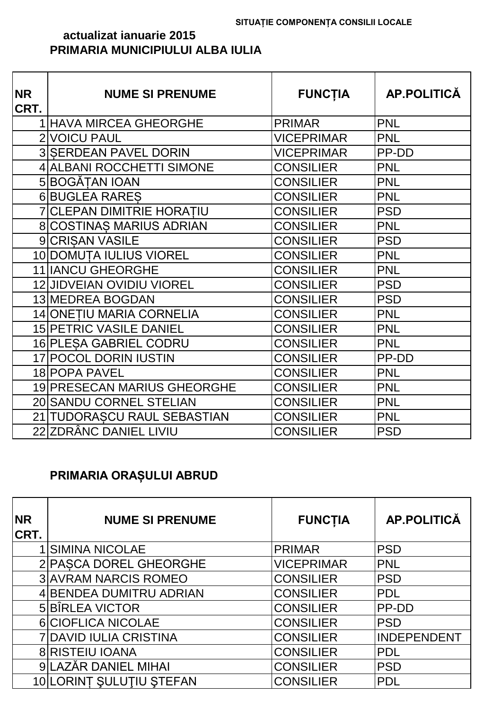#### **actualizat ianuarie 2015 PRIMARIA MUNICIPIULUI ALBA IULIA**

| <b>NR</b><br>CRT. | <b>NUME SI PRENUME</b>           | <b>FUNCTIA</b>    | AP.POLITICĂ |
|-------------------|----------------------------------|-------------------|-------------|
|                   | <b>1 HAVA MIRCEA GHEORGHE</b>    | <b>PRIMAR</b>     | <b>PNL</b>  |
|                   | 2 VOICU PAUL                     | <b>VICEPRIMAR</b> | <b>PNL</b>  |
|                   | <b>3 SERDEAN PAVEL DORIN</b>     | <b>VICEPRIMAR</b> | PP-DD       |
|                   | 4 ALBANI ROCCHETTI SIMONE        | <b>CONSILIER</b>  | <b>PNL</b>  |
|                   | 5 BOGĂȚAN IOAN                   | <b>CONSILIER</b>  | <b>PNL</b>  |
|                   | 6 BUGLEA RARES                   | <b>CONSILIER</b>  | <b>PNL</b>  |
|                   | <b>7 CLEPAN DIMITRIE HORATIU</b> | <b>CONSILIER</b>  | <b>PSD</b>  |
|                   | 8 COSTINAS MARIUS ADRIAN         | <b>CONSILIER</b>  | <b>PNL</b>  |
|                   | 9 CRISAN VASILE                  | <b>CONSILIER</b>  | <b>PSD</b>  |
|                   | 10 DOMUTA IULIUS VIOREL          | <b>CONSILIER</b>  | <b>PNL</b>  |
|                   | 11 IANCU GHEORGHE                | <b>CONSILIER</b>  | <b>PNL</b>  |
|                   | <b>12 JIDVEIAN OVIDIU VIOREL</b> | <b>CONSILIER</b>  | <b>PSD</b>  |
|                   | 13 MEDREA BOGDAN                 | <b>CONSILIER</b>  | <b>PSD</b>  |
|                   | <b>14 ONETIU MARIA CORNELIA</b>  | <b>CONSILIER</b>  | <b>PNL</b>  |
|                   | <b>15 PETRIC VASILE DANIEL</b>   | <b>CONSILIER</b>  | <b>PNL</b>  |
|                   | 16 PLESA GABRIEL CODRU           | <b>CONSILIER</b>  | <b>PNL</b>  |
|                   | 17 POCOL DORIN IUSTIN            | <b>CONSILIER</b>  | PP-DD       |
|                   | 18 POPA PAVEL                    | <b>CONSILIER</b>  | <b>PNL</b>  |
|                   | 19 PRESECAN MARIUS GHEORGHE      | <b>CONSILIER</b>  | <b>PNL</b>  |
|                   | 20 SANDU CORNEL STELIAN          | <b>CONSILIER</b>  | <b>PNL</b>  |
|                   | 21 TUDORASCU RAUL SEBASTIAN      | <b>CONSILIER</b>  | <b>PNL</b>  |
|                   | 22 ZDRÂNC DANIEL LIVIU           | <b>CONSILIER</b>  | <b>PSD</b>  |

#### **PRIMARIA ORAȘULUI ABRUD**

| <b>NR</b><br>CRT. | <b>NUME SI PRENUME</b>        | <b>FUNCTIA</b>    | <b>AP.POLITICĂ</b> |
|-------------------|-------------------------------|-------------------|--------------------|
|                   | <b>SIMINA NICOLAE</b>         | <b>PRIMAR</b>     | <b>PSD</b>         |
|                   | 2 PASCA DOREL GHEORGHE        | <b>VICEPRIMAR</b> | <b>PNL</b>         |
|                   | <b>3 AVRAM NARCIS ROMEO</b>   | <b>CONSILIER</b>  | <b>PSD</b>         |
|                   | 4 BENDEA DUMITRU ADRIAN       | <b>CONSILIER</b>  | <b>PDL</b>         |
|                   | 5 BÎRLEA VICTOR               | <b>CONSILIER</b>  | <b>PP-DD</b>       |
|                   | 6 CIOFLICA NICOLAE            | <b>CONSILIER</b>  | <b>PSD</b>         |
|                   | <b>7 DAVID IULIA CRISTINA</b> | <b>CONSILIER</b>  | INDEPENDENT        |
|                   | <b>8 RISTEIU IOANA</b>        | <b>CONSILIER</b>  | <b>PDL</b>         |
|                   | 9 LAZĂR DANIEL MIHAI          | <b>CONSILIER</b>  | <b>PSD</b>         |
|                   | 10 LORINT SULUTIU STEFAN      | <b>CONSILIER</b>  | <b>PDL</b>         |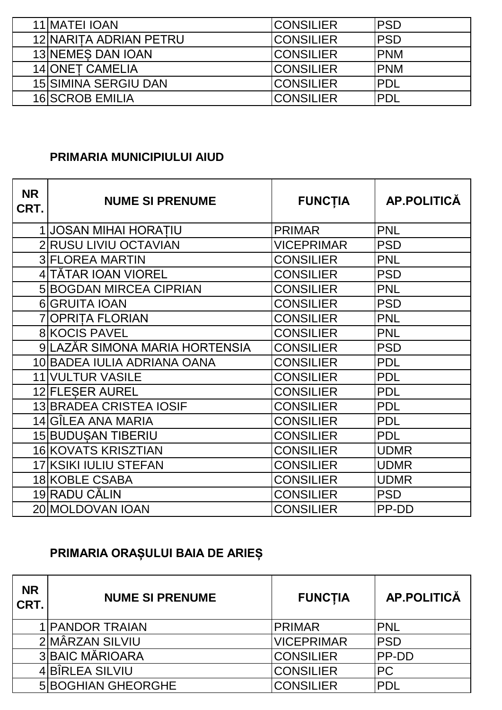| 11 MATEL IOAN               | <b>ICONSILIER</b> | <b>IPSD</b> |
|-----------------------------|-------------------|-------------|
| 12 NARITA ADRIAN PETRU      | <b>ICONSILIER</b> | <b>IPSD</b> |
| 13 NEMES DAN IOAN           | <b>ICONSILIER</b> | <b>PNM</b>  |
| 14 ONET CAMELIA             | <b>CONSILIER</b>  | <b>IPNM</b> |
| <b>15 SIMINA SERGIU DAN</b> | <b>CONSILIER</b>  | IPDL        |
| <b>16 SCROB EMILIA</b>      | <b>ICONSILIER</b> | IPDL        |

#### **PRIMARIA MUNICIPIULUI AIUD**

| <b>NR</b><br>CRT. | <b>NUME SI PRENUME</b>         | <b>FUNCTIA</b>    | AP.POLITICĂ |
|-------------------|--------------------------------|-------------------|-------------|
|                   | 1 JOSAN MIHAI HORATIU          | <b>PRIMAR</b>     | <b>PNL</b>  |
|                   | 2 RUSU LIVIU OCTAVIAN          | <b>VICEPRIMAR</b> | <b>PSD</b>  |
|                   | <b>3 FLOREA MARTIN</b>         | <b>CONSILIER</b>  | <b>PNL</b>  |
|                   | 4 TĂTAR IOAN VIOREL            | <b>CONSILIER</b>  | <b>PSD</b>  |
|                   | <b>5 BOGDAN MIRCEA CIPRIAN</b> | <b>CONSILIER</b>  | <b>PNL</b>  |
|                   | 6 GRUITA IOAN                  | <b>CONSILIER</b>  | <b>PSD</b>  |
|                   | 7 OPRITA FLORIAN               | <b>CONSILIER</b>  | <b>PNL</b>  |
|                   | <b>8 KOCIS PAVEL</b>           | <b>CONSILIER</b>  | <b>PNL</b>  |
|                   | 9 LAZĂR SIMONA MARIA HORTENSIA | <b>CONSILIER</b>  | <b>PSD</b>  |
|                   | 10 BADEA IULIA ADRIANA OANA    | <b>CONSILIER</b>  | <b>PDL</b>  |
|                   | 11 VULTUR VASILE               | <b>CONSILIER</b>  | <b>PDL</b>  |
|                   | 12 FLESER AUREL                | <b>CONSILIER</b>  | <b>PDL</b>  |
|                   | <b>13 BRADEA CRISTEA IOSIF</b> | <b>CONSILIER</b>  | <b>PDL</b>  |
|                   | 14 GÎLEA ANA MARIA             | <b>CONSILIER</b>  | <b>PDL</b>  |
|                   | 15 BUDUŞAN TIBERIU             | <b>CONSILIER</b>  | <b>PDL</b>  |
|                   | 16 KOVATS KRISZTIAN            | <b>CONSILIER</b>  | <b>UDMR</b> |
|                   | 17 KSIKI IULIU STEFAN          | <b>CONSILIER</b>  | <b>UDMR</b> |
|                   | 18 KOBLE CSABA                 | <b>CONSILIER</b>  | <b>UDMR</b> |
|                   | 19 RADU CĂLIN                  | <b>CONSILIER</b>  | <b>PSD</b>  |
|                   | 20 MOLDOVAN IOAN               | <b>CONSILIER</b>  | PP-DD       |

### **PRIMARIA ORAȘULUI BAIA DE ARIEȘ**

| <b>NR</b><br>CRT. | <b>NUME SI PRENUME</b>    | <b>FUNCTIA</b>    | AP.POLITICĂ  |
|-------------------|---------------------------|-------------------|--------------|
|                   | 1 PANDOR TRAIAN           | <b>PRIMAR</b>     | <b>PNL</b>   |
|                   | 2 MÂRZAN SILVIU           | <b>VICEPRIMAR</b> | <b>PSD</b>   |
|                   | <b>3 BAIC MĂRIOARA</b>    | <b>CONSILIER</b>  | <b>PP-DD</b> |
|                   | 4BÎRLEA SILVIU            | <b>CONSILIER</b>  | PC           |
|                   | <b>5 BOGHIAN GHEORGHE</b> | <b>CONSILIER</b>  | <b>PDL</b>   |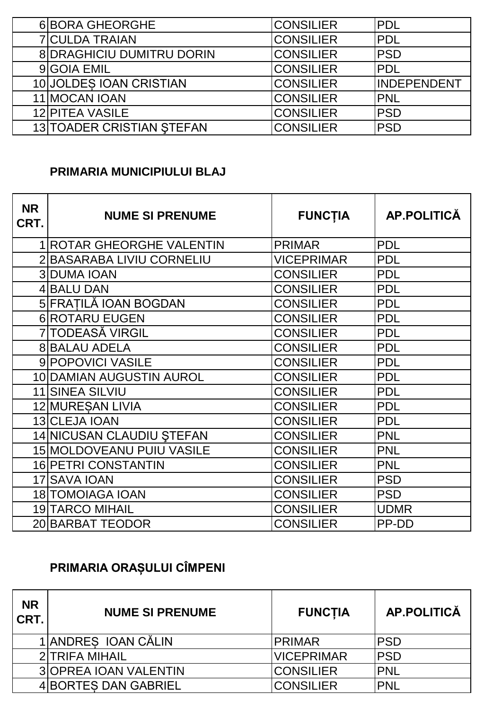| 6 BORA GHEORGHE        |                                  | <b>CONSILIER</b> | <b>PDL</b>  |
|------------------------|----------------------------------|------------------|-------------|
| <b>7 CULDA TRAIAN</b>  |                                  | <b>CONSILIER</b> | PDL         |
|                        | <b>8 DRAGHICIU DUMITRU DORIN</b> | <b>CONSILIER</b> | <b>PSD</b>  |
| 9 GOIA EMIL            |                                  | <b>CONSILIER</b> | <b>PDL</b>  |
|                        | 10 JOLDES IOAN CRISTIAN          | <b>CONSILIER</b> | INDEPENDENT |
| 11 MOCAN IOAN          |                                  | <b>CONSILIER</b> | <b>PNL</b>  |
| <b>12 PITEA VASILE</b> |                                  | <b>CONSILIER</b> | <b>PSD</b>  |
|                        | 13 TOADER CRISTIAN STEFAN        | <b>CONSILIER</b> | <b>PSD</b>  |

#### **PRIMARIA MUNICIPIULUI BLAJ**

| <b>NR</b><br>CRT. | <b>NUME SI PRENUME</b>    | <b>FUNCTIA</b>    | AP.POLITICĂ |
|-------------------|---------------------------|-------------------|-------------|
|                   | 1 ROTAR GHEORGHE VALENTIN | <b>PRIMAR</b>     | <b>PDL</b>  |
|                   | 2 BASARABA LIVIU CORNELIU | <b>VICEPRIMAR</b> | <b>PDL</b>  |
|                   | <b>3 DUMA IOAN</b>        | <b>CONSILIER</b>  | <b>PDL</b>  |
|                   | 4 BALU DAN                | <b>CONSILIER</b>  | <b>PDL</b>  |
|                   | 5 FRATILĂ IOAN BOGDAN     | <b>CONSILIER</b>  | <b>PDL</b>  |
|                   | 6 ROTARU EUGEN            | <b>CONSILIER</b>  | <b>PDL</b>  |
|                   | 7 TODEASĂ VIRGIL          | <b>CONSILIER</b>  | <b>PDL</b>  |
|                   | <b>8 BALAU ADELA</b>      | <b>CONSILIER</b>  | <b>PDL</b>  |
|                   | 9 POPOVICI VASILE         | <b>CONSILIER</b>  | <b>PDL</b>  |
|                   | 10 DAMIAN AUGUSTIN AUROL  | <b>CONSILIER</b>  | <b>PDL</b>  |
|                   | 11 SINEA SILVIU           | <b>CONSILIER</b>  | <b>PDL</b>  |
|                   | 12 MURESAN LIVIA          | <b>CONSILIER</b>  | <b>PDL</b>  |
|                   | 13 CLEJA IOAN             | <b>CONSILIER</b>  | <b>PDL</b>  |
|                   | 14 NICUSAN CLAUDIU ŞTEFAN | <b>CONSILIER</b>  | <b>PNL</b>  |
|                   | 15 MOLDOVEANU PUIU VASILE | <b>CONSILIER</b>  | <b>PNL</b>  |
|                   | 16 PETRI CONSTANTIN       | <b>CONSILIER</b>  | <b>PNL</b>  |
|                   | 17 SAVA IOAN              | <b>CONSILIER</b>  | <b>PSD</b>  |
|                   | <b>18 TOMOIAGA IOAN</b>   | <b>CONSILIER</b>  | <b>PSD</b>  |
|                   | <b>19 TARCO MIHAIL</b>    | <b>CONSILIER</b>  | <b>UDMR</b> |
|                   | 20 BARBAT TEODOR          | <b>CONSILIER</b>  | PP-DD       |

# **PRIMARIA ORAȘULUI CÎMPENI**

| <b>NR</b><br>CRT. | <b>NUME SI PRENUME</b>       | <b>FUNCTIA</b>    | AP.POLITICĂ |
|-------------------|------------------------------|-------------------|-------------|
|                   | 1 ANDRES IOAN CĂLIN          | <b>PRIMAR</b>     | <b>IPSD</b> |
|                   | <b>2 TRIFA MIHAIL</b>        | <b>VICEPRIMAR</b> | <b>IPSD</b> |
|                   | <b>3 OPREA JOAN VALENTIN</b> | <b>CONSILIER</b>  | <b>IPNL</b> |
|                   | 4 BORTES DAN GABRIEL         | CONSILIER         | <b>IPNL</b> |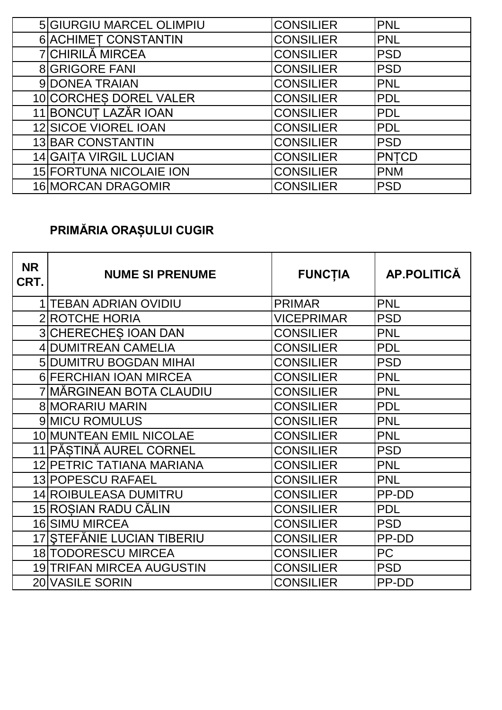| 5 GIURGIU MARCEL OLIMPIU       | <b>CONSILIER</b> | <b>PNL</b>   |
|--------------------------------|------------------|--------------|
| 6 ACHIMET CONSTANTIN           | <b>CONSILIER</b> | <b>PNL</b>   |
| 7 CHIRILĂ MIRCEA               | <b>CONSILIER</b> | <b>PSD</b>   |
| <b>8 GRIGORE FANI</b>          | <b>CONSILIER</b> | <b>PSD</b>   |
| 9 DONEA TRAIAN                 | <b>CONSILIER</b> | <b>PNL</b>   |
| 10 CORCHES DOREL VALER         | <b>CONSILIER</b> | <b>PDL</b>   |
| 11 BONCUȚ LAZĂR IOAN           | <b>CONSILIER</b> | <b>PDL</b>   |
| 12 SICOE VIOREL IOAN           | <b>CONSILIER</b> | <b>PDL</b>   |
| <b>13 BAR CONSTANTIN</b>       | <b>CONSILIER</b> | <b>PSD</b>   |
| <b>14 GAITA VIRGIL LUCIAN</b>  | <b>CONSILIER</b> | <b>PNTCD</b> |
| <b>15 FORTUNA NICOLAIE ION</b> | <b>CONSILIER</b> | <b>PNM</b>   |
| 16 MORCAN DRAGOMIR             | <b>CONSILIER</b> | <b>PSD</b>   |

# **PRIMĂRIA ORAȘULUI CUGIR**

| <b>NR</b><br>CRT. | <b>NUME SI PRENUME</b>           | <b>FUNCTIA</b>    | AP.POLITICĂ |
|-------------------|----------------------------------|-------------------|-------------|
|                   | 1 TEBAN ADRIAN OVIDIU            | <b>PRIMAR</b>     | <b>PNL</b>  |
|                   | <b>ROTCHE HORIA</b>              | <b>VICEPRIMAR</b> | <b>PSD</b>  |
|                   | <b>3 CHERECHES IOAN DAN</b>      | CONSILIER         | <b>PNL</b>  |
|                   | 4 DUMITREAN CAMELIA              | <b>CONSILIER</b>  | <b>PDL</b>  |
|                   | <b>5 DUMITRU BOGDAN MIHAI</b>    | <b>CONSILIER</b>  | <b>PSD</b>  |
|                   | 6 FERCHIAN IOAN MIRCEA           | <b>CONSILIER</b>  | <b>PNL</b>  |
|                   | 7 MĂRGINEAN BOTA CLAUDIU         | <b>CONSILIER</b>  | <b>PNL</b>  |
|                   | <b>8 MORARIU MARIN</b>           | <b>CONSILIER</b>  | <b>PDL</b>  |
|                   | 9 MICU ROMULUS                   | <b>CONSILIER</b>  | <b>PNL</b>  |
|                   | 10 MUNTEAN EMIL NICOLAE          | <b>CONSILIER</b>  | <b>PNL</b>  |
|                   | 11 PĂSTINĂ AUREL CORNEL          | <b>CONSILIER</b>  | <b>PSD</b>  |
|                   | 12 PETRIC TATIANA MARIANA        | <b>CONSILIER</b>  | <b>PNL</b>  |
|                   | <b>13 POPESCU RAFAEL</b>         | <b>CONSILIER</b>  | <b>PNL</b>  |
|                   | 14 ROIBULEASA DUMITRU            | <b>CONSILIER</b>  | PP-DD       |
|                   | 15 ROSIAN RADU CĂLIN             | <b>CONSILIER</b>  | <b>PDL</b>  |
|                   | <b>16 SIMU MIRCEA</b>            | CONSILIER         | <b>PSD</b>  |
|                   | 17 STEFĂNIE LUCIAN TIBERIU       | <b>CONSILIER</b>  | PP-DD       |
|                   | 18 TODORESCU MIRCEA              | CONSILIER         | <b>PC</b>   |
|                   | <b>19 TRIFAN MIRCEA AUGUSTIN</b> | <b>CONSILIER</b>  | <b>PSD</b>  |
|                   | 20 VASILE SORIN                  | CONSILIER         | PP-DD       |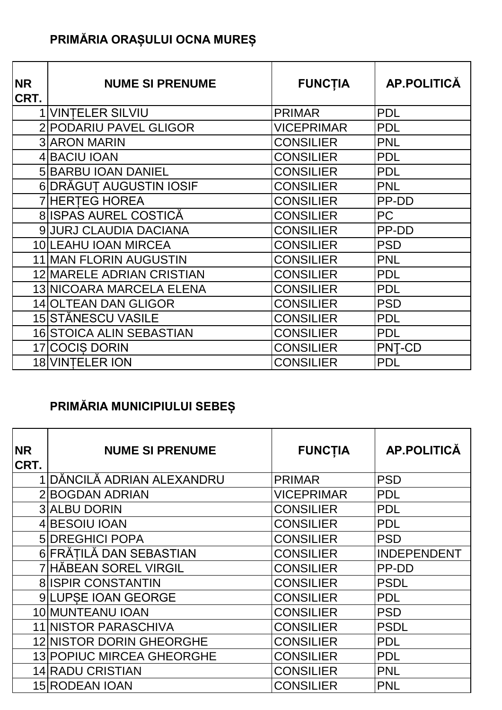# **PRIMĂRIA ORAȘULUI OCNA MUREȘ**

| <b>NR</b><br>CRT. | <b>NUME SI PRENUME</b>           | <b>FUNCTIA</b>    | AP.POLITICĂ   |
|-------------------|----------------------------------|-------------------|---------------|
|                   | <b>1 VINTELER SILVIU</b>         | <b>PRIMAR</b>     | <b>PDL</b>    |
|                   | 2 PODARIU PAVEL GLIGOR           | <b>VICEPRIMAR</b> | <b>PDL</b>    |
|                   | <b>3 ARON MARIN</b>              | <b>CONSILIER</b>  | <b>PNL</b>    |
|                   | 4 BACIU IOAN                     | <b>CONSILIER</b>  | <b>PDL</b>    |
|                   | <b>5 BARBU IOAN DANIEL</b>       | <b>CONSILIER</b>  | <b>PDL</b>    |
|                   | 6 DRĂGUT AUGUSTIN IOSIF          | <b>CONSILIER</b>  | <b>PNL</b>    |
|                   | <b>7 HERTEG HOREA</b>            | <b>CONSILIER</b>  | PP-DD         |
|                   | 8 ISPAS AUREL COSTICĂ            | <b>CONSILIER</b>  | <b>PC</b>     |
|                   | 9 JURJ CLAUDIA DACIANA           | <b>CONSILIER</b>  | PP-DD         |
|                   | 10 LEAHU IOAN MIRCEA             | <b>CONSILIER</b>  | <b>PSD</b>    |
|                   | 11 MAN FLORIN AUGUSTIN           | <b>CONSILIER</b>  | <b>PNL</b>    |
|                   | <b>12 MARELE ADRIAN CRISTIAN</b> | <b>CONSILIER</b>  | <b>PDL</b>    |
|                   | 13 NICOARA MARCELA ELENA         | <b>CONSILIER</b>  | <b>PDL</b>    |
|                   | <b>14 OLTEAN DAN GLIGOR</b>      | <b>CONSILIER</b>  | <b>PSD</b>    |
|                   | 15 STĂNESCU VASILE               | <b>CONSILIER</b>  | <b>PDL</b>    |
|                   | <b>16 STOICA ALIN SEBASTIAN</b>  | <b>CONSILIER</b>  | <b>PDL</b>    |
|                   | 17 COCIS DORIN                   | <b>CONSILIER</b>  | <b>PNT-CD</b> |
|                   | <b>18 VINTELER ION</b>           | <b>CONSILIER</b>  | <b>PDL</b>    |

## **PRIMĂRIA MUNICIPIULUI SEBEȘ**

| <b>NR</b><br>CRT. | <b>NUME SI PRENUME</b>           | <b>FUNCTIA</b>   | <b>AP.POLITICĂ</b> |
|-------------------|----------------------------------|------------------|--------------------|
|                   | DĂNCILĂ ADRIAN ALEXANDRU         | <b>PRIMAR</b>    | <b>PSD</b>         |
|                   | 2 BOGDAN ADRIAN                  | VICEPRIMAR       | <b>PDL</b>         |
|                   | <b>3 ALBU DORIN</b>              | <b>CONSILIER</b> | <b>PDL</b>         |
|                   | 4 BESOIU IOAN                    | <b>CONSILIER</b> | <b>PDL</b>         |
|                   | <b>5 DREGHICI POPA</b>           | <b>CONSILIER</b> | <b>PSD</b>         |
|                   | 6 FRĂTILĂ DAN SEBASTIAN          | <b>CONSILIER</b> | <b>INDEPENDENT</b> |
|                   | 7 HĂBEAN SOREL VIRGIL            | <b>CONSILIER</b> | PP-DD              |
|                   | <b>8 ISPIR CONSTANTIN</b>        | CONSILIER        | <b>PSDL</b>        |
|                   | 9 LUPSE IOAN GEORGE              | <b>CONSILIER</b> | <b>PDL</b>         |
|                   | 10 MUNTEANU IOAN                 | CONSILIER        | <b>PSD</b>         |
|                   | 11 NISTOR PARASCHIVA             | CONSILIER        | <b>PSDL</b>        |
|                   | 12 NISTOR DORIN GHEORGHE         | <b>CONSILIER</b> | <b>PDL</b>         |
|                   | <b>13 POPIUC MIRCEA GHEORGHE</b> | <b>CONSILIER</b> | <b>PDL</b>         |
|                   | <b>14 RADU CRISTIAN</b>          | CONSILIER        | <b>PNL</b>         |
|                   | <b>15 RODEAN IOAN</b>            | CONSILIER        | <b>PNL</b>         |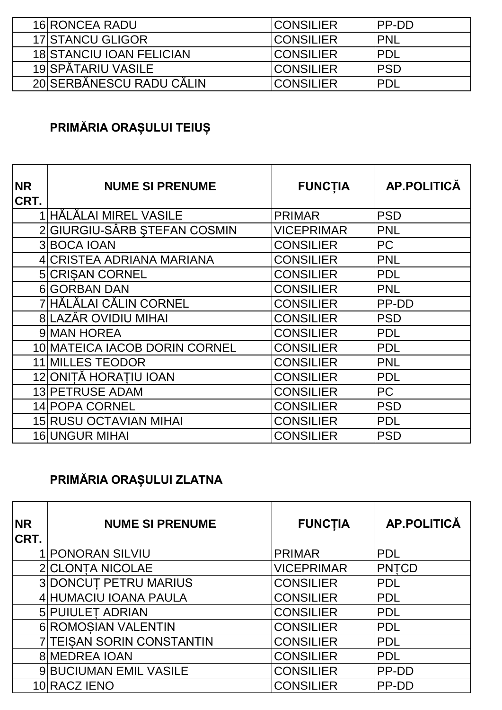| 16 RONCEA RADU                  | <b>ICONSILIER</b> | <b>IPP-DD</b> |
|---------------------------------|-------------------|---------------|
| <b>17 STANCU GLIGOR</b>         | <b>ICONSILIER</b> | <b>IPNL</b>   |
| <b>18 STANCIU IOAN FELICIAN</b> | <b>ICONSILIER</b> | <b>IPDL</b>   |
| 19 SPĂTARIU VASILE              | <b>ICONSILIER</b> | <b>IPSD</b>   |
| 20 SERBĂNESCU RADU CĂLIN        | <b>ICONSILIER</b> | <b>PDL</b>    |

# **PRIMĂRIA ORAȘULUI TEIUȘ**

| <b>NR</b><br><b>CRT.</b> | <b>NUME SI PRENUME</b>        | <b>FUNCTIA</b>    | AP.POLITICĂ |
|--------------------------|-------------------------------|-------------------|-------------|
|                          | 1 HĂLĂLAI MIREL VASILE        | <b>PRIMAR</b>     | <b>PSD</b>  |
|                          | 2 GIURGIU-SÂRB ȘTEFAN COSMIN  | <b>VICEPRIMAR</b> | <b>PNL</b>  |
|                          | 3 BOCA IOAN                   | <b>CONSILIER</b>  | <b>PC</b>   |
|                          | 4 CRISTEA ADRIANA MARIANA     | <b>CONSILIER</b>  | <b>PNL</b>  |
|                          | <b>5 CRISAN CORNEL</b>        | <b>CONSILIER</b>  | <b>PDL</b>  |
|                          | 6 GORBAN DAN                  | <b>CONSILIER</b>  | <b>PNL</b>  |
|                          | 7 HĂLĂLAI CĂLIN CORNEL        | <b>CONSILIER</b>  | PP-DD       |
|                          | 8 LAZĂR OVIDIU MIHAI          | <b>CONSILIER</b>  | <b>PSD</b>  |
|                          | 9 MAN HOREA                   | <b>CONSILIER</b>  | <b>PDL</b>  |
|                          | 10 MATEICA IACOB DORIN CORNEL | <b>CONSILIER</b>  | <b>PDL</b>  |
|                          | <b>11 MILLES TEODOR</b>       | <b>CONSILIER</b>  | <b>PNL</b>  |
|                          | 12 ONITĂ HORATIU IOAN         | <b>CONSILIER</b>  | <b>PDL</b>  |
|                          | 13 PETRUSE ADAM               | <b>CONSILIER</b>  | <b>PC</b>   |
|                          | 14 POPA CORNEL                | <b>CONSILIER</b>  | <b>PSD</b>  |
|                          | <b>15 RUSU OCTAVIAN MIHAI</b> | <b>CONSILIER</b>  | <b>PDL</b>  |
|                          | <b>16 UNGUR MIHAI</b>         | <b>CONSILIER</b>  | <b>PSD</b>  |

# **PRIMĂRIA ORAȘULUI ZLATNA**

| <b>NR</b><br>CRT. | <b>NUME SI PRENUME</b>        | <b>FUNCTIA</b>    | <b>AP.POLITICĂ</b> |
|-------------------|-------------------------------|-------------------|--------------------|
|                   | <b>PONORAN SILVIU</b>         | <b>PRIMAR</b>     | <b>PDL</b>         |
|                   | 2 CLONTA NICOLAE              | <b>VICEPRIMAR</b> | <b>PNTCD</b>       |
|                   | <b>3DONCUT PETRU MARIUS</b>   | <b>CONSILIER</b>  | <b>PDL</b>         |
|                   | 4 HUMACIU IOANA PAULA         | <b>CONSILIER</b>  | <b>PDL</b>         |
|                   | <b>5 PUIULET ADRIAN</b>       | <b>CONSILIER</b>  | <b>PDL</b>         |
|                   | 6 ROMOSIAN VALENTIN           | <b>CONSILIER</b>  | <b>PDL</b>         |
|                   | 7 TEISAN SORIN CONSTANTIN     | <b>CONSILIER</b>  | <b>PDL</b>         |
|                   | <b>8 MEDREA IOAN</b>          | <b>CONSILIER</b>  | <b>PDL</b>         |
|                   | <b>9 BUCIUMAN EMIL VASILE</b> | <b>CONSILIER</b>  | PP-DD              |
|                   | 10 RACZ JENO                  | <b>CONSILIER</b>  | PP-DD              |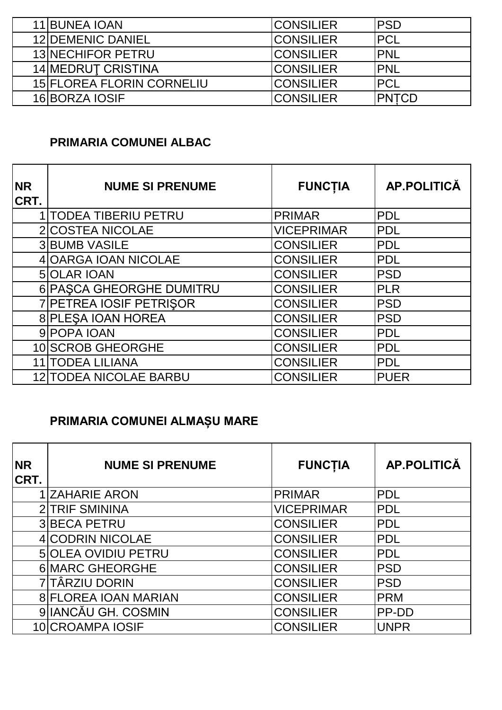| 11 BUNEA IOAN                    | <b>CONSILIER</b> | IPSD         |
|----------------------------------|------------------|--------------|
| <b>12 DEMENIC DANIEL</b>         | ICONSILIER       | <b>PCL</b>   |
| <b>13 NECHIFOR PETRU</b>         | <b>CONSILIER</b> | <b>IPNL</b>  |
| <b>14 MEDRUT CRISTINA</b>        | <b>CONSILIER</b> | <b>IPNL</b>  |
| <b>15 FLOREA FLORIN CORNELIU</b> | <b>CONSILIER</b> | <b>PCL</b>   |
| 16 BORZA IOSIF                   | <b>CONSILIER</b> | <b>PNTCD</b> |

#### **PRIMARIA COMUNEI ALBAC**

| <b>NR</b><br>CRT. | <b>NUME SI PRENUME</b>        | <b>FUNCTIA</b>    | <b>AP.POLITICĂ</b> |
|-------------------|-------------------------------|-------------------|--------------------|
|                   | <b>1 TODEA TIBERIU PETRU</b>  | <b>PRIMAR</b>     | <b>PDL</b>         |
|                   | 2 COSTEA NICOLAE              | <b>VICEPRIMAR</b> | <b>PDL</b>         |
|                   | <b>3 BUMB VASILE</b>          | <b>CONSILIER</b>  | <b>PDL</b>         |
|                   | 4 OARGA IOAN NICOLAE          | <b>CONSILIER</b>  | <b>PDL</b>         |
|                   | <b>5 OLAR IOAN</b>            | <b>CONSILIER</b>  | <b>PSD</b>         |
|                   | 6 PASCA GHEORGHE DUMITRU      | <b>CONSILIER</b>  | <b>PLR</b>         |
|                   | 7 PETREA IOSIF PETRISOR       | <b>CONSILIER</b>  | <b>PSD</b>         |
|                   | 8 PLESA IOAN HOREA            | <b>CONSILIER</b>  | <b>PSD</b>         |
|                   | 9 POPA IOAN                   | <b>CONSILIER</b>  | <b>PDL</b>         |
|                   | 10 SCROB GHEORGHE             | <b>CONSILIER</b>  | <b>PDL</b>         |
|                   | <b>11 TODEA LILIANA</b>       | <b>CONSILIER</b>  | <b>PDL</b>         |
|                   | <b>12 TODEA NICOLAE BARBU</b> | <b>CONSILIER</b>  | <b>PUER</b>        |

### **PRIMARIA COMUNEI ALMAȘU MARE**

| <b>NR</b><br>CRT. | <b>NUME SI PRENUME</b>     | <b>FUNCTIA</b>    | <b>AP.POLITICĂ</b> |
|-------------------|----------------------------|-------------------|--------------------|
|                   | <b>ZAHARIE ARON</b>        | <b>PRIMAR</b>     | <b>PDL</b>         |
|                   | 2 TRIF SMININA             | <b>VICEPRIMAR</b> | <b>IPDL</b>        |
|                   | 3BECA PETRU                | <b>CONSILIER</b>  | <b>PDL</b>         |
|                   | 4 CODRIN NICOLAE           | <b>CONSILIER</b>  | <b>PDL</b>         |
|                   | <b>5 OLEA OVIDIU PETRU</b> | <b>CONSILIER</b>  | <b>PDL</b>         |
|                   | 6 MARC GHEORGHE            | <b>CONSILIER</b>  | <b>PSD</b>         |
|                   | 7 TÄRZIU DORIN             | <b>CONSILIER</b>  | <b>PSD</b>         |
|                   | 8 FLOREA IOAN MARIAN       | <b>CONSILIER</b>  | <b>PRM</b>         |
|                   | 9 IANCĂU GH. COSMIN        | <b>CONSILIER</b>  | PP-DD              |
|                   | 10 CROAMPA IOSIF           | <b>CONSILIER</b>  | <b>UNPR</b>        |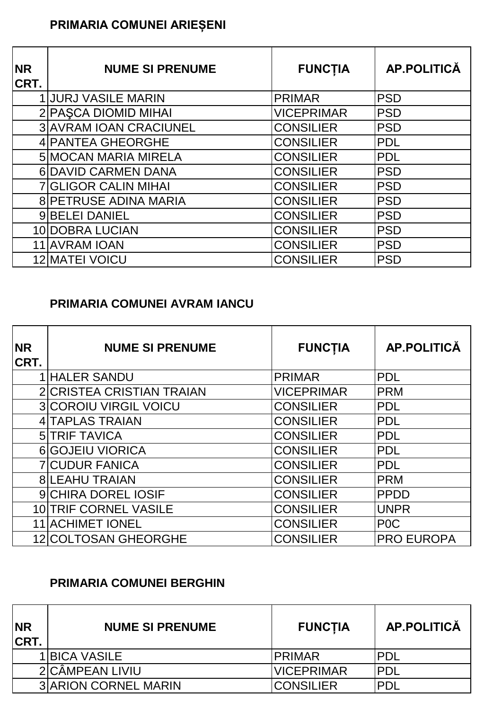### **PRIMARIA COMUNEI ARIEȘENI**

| <b>NR</b><br>CRT. | <b>NUME SI PRENUME</b>        | <b>FUNCTIA</b>    | <b>AP.POLITICĂ</b> |
|-------------------|-------------------------------|-------------------|--------------------|
|                   | <b>1 JURJ VASILE MARIN</b>    | <b>PRIMAR</b>     | <b>PSD</b>         |
|                   | 2 PASCA DIOMID MIHAI          | <b>VICEPRIMAR</b> | <b>PSD</b>         |
|                   | <b>3 AVRAM IOAN CRACIUNEL</b> | <b>CONSILIER</b>  | <b>PSD</b>         |
|                   | 4 PANTEA GHEORGHE             | <b>CONSILIER</b>  | PDL                |
|                   | <b>5 MOCAN MARIA MIRELA</b>   | <b>CONSILIER</b>  | <b>PDL</b>         |
|                   | 6 DAVID CARMEN DANA           | <b>CONSILIER</b>  | <b>PSD</b>         |
|                   | <b>7 GLIGOR CALIN MIHAI</b>   | <b>CONSILIER</b>  | <b>PSD</b>         |
|                   | <b>8 PETRUSE ADINA MARIA</b>  | <b>CONSILIER</b>  | <b>PSD</b>         |
|                   | 9 BELEI DANIEL                | <b>CONSILIER</b>  | <b>PSD</b>         |
|                   | 10 DOBRA LUCIAN               | <b>CONSILIER</b>  | <b>PSD</b>         |
|                   | 11 AVRAM IOAN                 | <b>CONSILIER</b>  | <b>PSD</b>         |
|                   | <b>12 MATEI VOICU</b>         | <b>CONSILIER</b>  | <b>PSD</b>         |

#### **PRIMARIA COMUNEI AVRAM IANCU**

| <b>NR</b><br>CRT. | <b>NUME SI PRENUME</b>       | <b>FUNCTIA</b>    | AP.POLITICĂ       |
|-------------------|------------------------------|-------------------|-------------------|
|                   | 1 HALER SANDU                | <b>PRIMAR</b>     | <b>PDL</b>        |
|                   | 2 CRISTEA CRISTIAN TRAIAN    | <b>VICEPRIMAR</b> | <b>PRM</b>        |
|                   | <b>3 COROIU VIRGIL VOICU</b> | <b>CONSILIER</b>  | PDL               |
|                   | 4 TAPLAS TRAIAN              | <b>CONSILIER</b>  | PDL               |
|                   | <b>5 TRIF TAVICA</b>         | <b>CONSILIER</b>  | PDL               |
|                   | <b>6 GOJEIU VIORICA</b>      | <b>CONSILIER</b>  | <b>PDL</b>        |
|                   | <b>7 CUDUR FANICA</b>        | <b>CONSILIER</b>  | <b>PDL</b>        |
|                   | <b>8 LEAHU TRAIAN</b>        | <b>CONSILIER</b>  | <b>PRM</b>        |
|                   | <b>9 CHIRA DOREL IOSIF</b>   | <b>CONSILIER</b>  | <b>PPDD</b>       |
|                   | 10 TRIF CORNEL VASILE        | <b>CONSILIER</b>  | <b>UNPR</b>       |
| 11                | <b>ACHIMET IONEL</b>         | <b>CONSILIER</b>  | P <sub>0</sub> C  |
|                   | 12 COLTOSAN GHEORGHE         | <b>CONSILIER</b>  | <b>PRO EUROPA</b> |

#### **PRIMARIA COMUNEI BERGHIN**

| <b>NR</b><br><b>CRT.</b> | <b>NUME SI PRENUME</b>      | <b>FUNCTIA</b>    | AP.POLITICĂ |
|--------------------------|-----------------------------|-------------------|-------------|
|                          | <b>1 BICA VASILE</b>        | IPRIMAR           | IPDL        |
|                          | 2 CÂMPEAN LIVIU             | <b>VICEPRIMAR</b> | IPDL        |
|                          | <b>3 ARION CORNEL MARIN</b> | <b>CONSILIER</b>  | <b>IPDL</b> |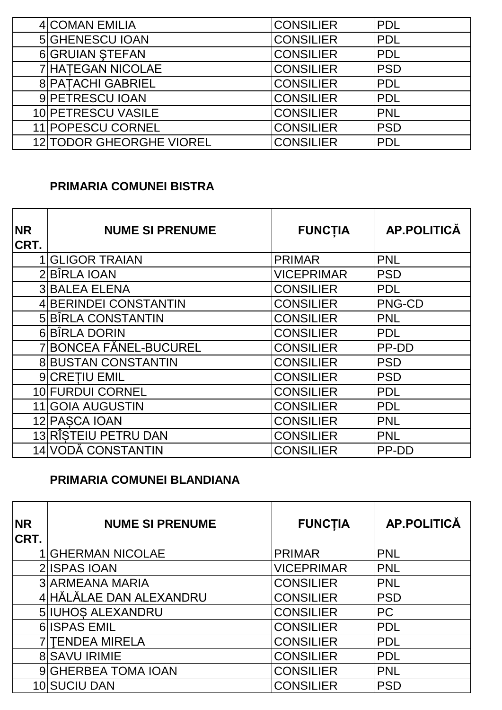| <b>4 COMAN EMILIA</b>           | <b>CONSILIER</b> | PDL        |
|---------------------------------|------------------|------------|
| <b>5 GHENESCU IOAN</b>          | <b>CONSILIER</b> | <b>PDL</b> |
| <b>6 GRUIAN STEFAN</b>          | <b>CONSILIER</b> | <b>PDL</b> |
| 7 HATEGAN NICOLAE               | <b>CONSILIER</b> | <b>PSD</b> |
| <b>8 PATACHI GABRIEL</b>        | <b>CONSILIER</b> | <b>PDL</b> |
| 9 PETRESCU IOAN                 | <b>CONSILIER</b> | <b>PDL</b> |
| 10 PETRESCU VASILE              | <b>CONSILIER</b> | <b>PNL</b> |
| 11 POPESCU CORNEL               | <b>CONSILIER</b> | <b>PSD</b> |
| <b>12 TODOR GHEORGHE VIOREL</b> | <b>CONSILIER</b> | <b>PDL</b> |

#### **PRIMARIA COMUNEI BISTRA**

| <b>NR</b><br>CRT. | <b>NUME SI PRENUME</b>     | <b>FUNCTIA</b>    | <b>AP.POLITICĂ</b> |
|-------------------|----------------------------|-------------------|--------------------|
|                   | <b>GLIGOR TRAIAN</b>       | <b>PRIMAR</b>     | <b>PNL</b>         |
|                   | 2BÎRLA IOAN                | <b>VICEPRIMAR</b> | <b>PSD</b>         |
|                   | <b>3 BALEA ELENA</b>       | <b>CONSILIER</b>  | <b>PDL</b>         |
|                   | 4 BERINDEI CONSTANTIN      | <b>CONSILIER</b>  | <b>PNG-CD</b>      |
|                   | 5 BÎRLA CONSTANTIN         | <b>CONSILIER</b>  | <b>PNL</b>         |
|                   | 6 BÎRLA DORIN              | <b>CONSILIER</b>  | <b>PDL</b>         |
|                   | 7 BONCEA FĂNEL-BUCUREL     | <b>CONSILIER</b>  | PP-DD              |
|                   | <b>8 BUSTAN CONSTANTIN</b> | <b>CONSILIER</b>  | <b>PSD</b>         |
|                   | 9 CRETIU EMIL              | <b>CONSILIER</b>  | <b>PSD</b>         |
|                   | 10 FURDUI CORNEL           | <b>CONSILIER</b>  | <b>PDL</b>         |
| 11                | <b>GOIA AUGUSTIN</b>       | <b>CONSILIER</b>  | <b>PDL</b>         |
|                   | 12 PASCA IOAN              | <b>CONSILIER</b>  | <b>PNL</b>         |
|                   | 13 RÎSTEIU PETRU DAN       | <b>CONSILIER</b>  | <b>PNL</b>         |
|                   | 14 VODĂ CONSTANTIN         | <b>CONSILIER</b>  | PP-DD              |

#### **PRIMARIA COMUNEI BLANDIANA**

| <b>NR</b><br>CRT. | <b>NUME SI PRENUME</b>   | <b>FUNCTIA</b>    | <b>AP.POLITICĂ</b> |
|-------------------|--------------------------|-------------------|--------------------|
|                   | <b>GHERMAN NICOLAE</b>   | <b>PRIMAR</b>     | PNL                |
|                   | 2 ISPAS IOAN             | <b>VICEPRIMAR</b> | <b>PNL</b>         |
|                   | <b>3 ARMEANA MARIA</b>   | <b>CONSILIER</b>  | <b>PNL</b>         |
|                   | 4 HĂLĂLAE DAN ALEXANDRU  | <b>CONSILIER</b>  | <b>PSD</b>         |
|                   | <b>5 IUHOS ALEXANDRU</b> | <b>CONSILIER</b>  | <b>PC</b>          |
|                   | 6 <b>ISPAS EMIL</b>      | <b>CONSILIER</b>  | <b>PDL</b>         |
|                   | <b>TENDEA MIRELA</b>     | <b>CONSILIER</b>  | <b>PDL</b>         |
|                   | <b>8 SAVU IRIMIE</b>     | <b>CONSILIER</b>  | <b>PDL</b>         |
|                   | 9 GHERBEA TOMA IOAN      | <b>CONSILIER</b>  | <b>PNL</b>         |
|                   | 10 SUCIU DAN             | <b>CONSILIER</b>  | <b>PSD</b>         |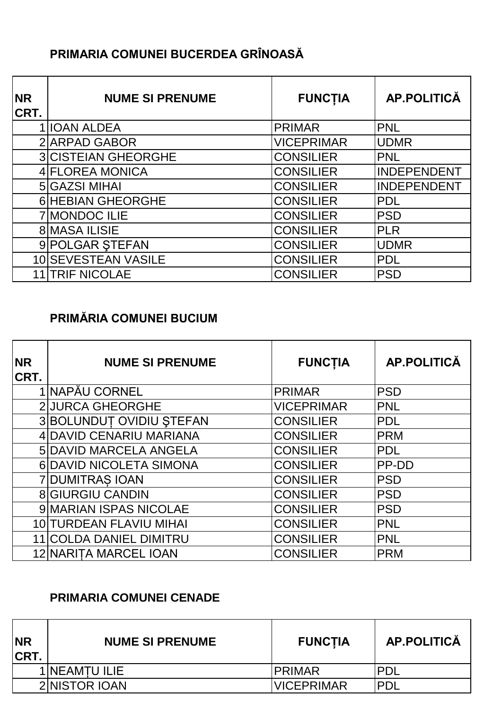### **PRIMARIA COMUNEI BUCERDEA GRÎNOASĂ**

| <b>NR</b><br>CRT. | <b>NUME SI PRENUME</b>     | <b>FUNCTIA</b>    | AP.POLITICĂ        |
|-------------------|----------------------------|-------------------|--------------------|
|                   | 1 IOAN ALDEA               | <b>PRIMAR</b>     | <b>PNL</b>         |
|                   | 2 ARPAD GABOR              | <b>VICEPRIMAR</b> | <b>UDMR</b>        |
|                   | <b>3 CISTEIAN GHEORGHE</b> | <b>CONSILIER</b>  | <b>PNL</b>         |
|                   | 4 FLOREA MONICA            | <b>CONSILIER</b>  | <b>INDEPENDENT</b> |
|                   | 5 GAZSI MIHAI              | <b>CONSILIER</b>  | <b>INDEPENDENT</b> |
|                   | <b>6 HEBIAN GHEORGHE</b>   | <b>CONSILIER</b>  | <b>PDL</b>         |
|                   | 7 MONDOC ILIE              | <b>CONSILIER</b>  | <b>PSD</b>         |
|                   | <b>8 MASA ILISIE</b>       | <b>CONSILIER</b>  | <b>PLR</b>         |
|                   | 9 POLGAR STEFAN            | <b>CONSILIER</b>  | <b>UDMR</b>        |
|                   | 10 SEVESTEAN VASILE        | <b>CONSILIER</b>  | <b>PDL</b>         |
|                   | <b>TRIF NICOLAE</b>        | <b>CONSILIER</b>  | <b>PSD</b>         |

#### **PRIMĂRIA COMUNEI BUCIUM**

| <b>NR</b><br>CRT. | <b>NUME SI PRENUME</b>   | <b>FUNCTIA</b>    | <b>AP.POLITICĂ</b> |
|-------------------|--------------------------|-------------------|--------------------|
|                   | 1 NAPĂU CORNEL           | <b>PRIMAR</b>     | <b>PSD</b>         |
|                   | <b>2 JURCA GHEORGHE</b>  | <b>VICEPRIMAR</b> | <b>PNL</b>         |
|                   | 3 BOLUNDUT OVIDIU ȘTEFAN | <b>CONSILIER</b>  | <b>PDL</b>         |
|                   | 4 DAVID CENARIU MARIANA  | <b>CONSILIER</b>  | <b>PRM</b>         |
|                   | 5 DAVID MARCELA ANGELA   | <b>CONSILIER</b>  | <b>PDL</b>         |
|                   | 6 DAVID NICOLETA SIMONA  | <b>CONSILIER</b>  | PP-DD              |
|                   | <b>7 DUMITRAS IOAN</b>   | <b>CONSILIER</b>  | <b>PSD</b>         |
|                   | <b>8 GIURGIU CANDIN</b>  | <b>CONSILIER</b>  | <b>PSD</b>         |
|                   | 9 MARIAN ISPAS NICOLAE   | <b>CONSILIER</b>  | <b>PSD</b>         |
|                   | 10 TURDEAN FLAVIU MIHAI  | <b>CONSILIER</b>  | <b>PNL</b>         |
|                   | 11 COLDA DANIEL DIMITRU  | <b>CONSILIER</b>  | <b>PNL</b>         |
|                   | 12 NARITA MARCEL IOAN    | <b>CONSILIER</b>  | <b>PRM</b>         |

#### **PRIMARIA COMUNEI CENADE**

| <b>INR</b><br><b>CRT.</b> | <b>NUME SI PRENUME</b> | <b>FUNCTIA</b>    | <b>AP.POLITICĂ</b> |
|---------------------------|------------------------|-------------------|--------------------|
|                           | 1 <b>NEAMTU ILIE</b>   | <b>IPRIMAR</b>    | PDI                |
|                           | 2 NISTOR IOAN          | <b>VICEPRIMAR</b> | PDI                |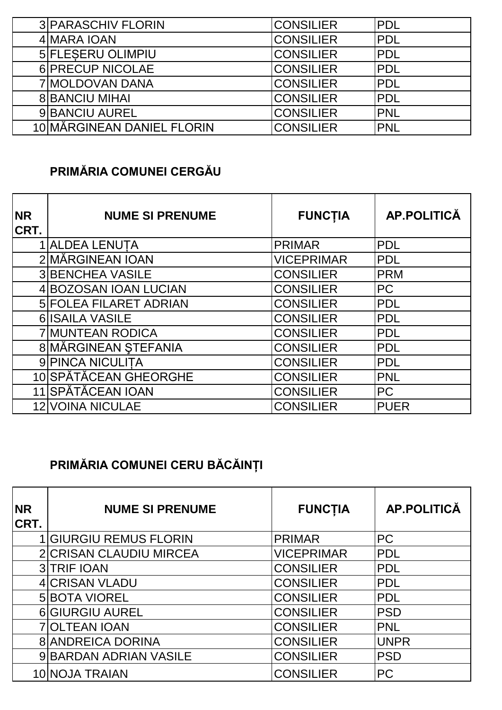| <b>3 PARASCHIV FLORIN</b>  | <b>CONSILIER</b> | IPDL        |
|----------------------------|------------------|-------------|
| 4 MARA IOAN                | <b>CONSILIER</b> | <b>PDL</b>  |
| 5 FLESERU OLIMPIU          | <b>CONSILIER</b> | <b>PDL</b>  |
| 6 PRECUP NICOLAE           | <b>CONSILIER</b> | <b>PDL</b>  |
| 7 MOLDOVAN DANA            | ICONSILIER       | <b>IPDL</b> |
| <b>8 BANCIU MIHAI</b>      | <b>CONSILIER</b> | IPDL        |
| 9 BANCIU AUREL             | <b>CONSILIER</b> | <b>PNL</b>  |
| 10 MĂRGINEAN DANIEL FLORIN | <b>CONSILIER</b> | <b>PNL</b>  |

### **PRIMĂRIA COMUNEI CERGĂU**

| <b>NR</b><br><b>CRT.</b> | <b>NUME SI PRENUME</b>        | <b>FUNCTIA</b>    | <b>AP.POLITICĂ</b> |
|--------------------------|-------------------------------|-------------------|--------------------|
|                          | 1 ALDEA LENUTA                | <b>PRIMAR</b>     | <b>PDL</b>         |
|                          | 2 MĂRGINEAN IOAN              | <b>VICEPRIMAR</b> | <b>PDL</b>         |
|                          | <b>3 BENCHEA VASILE</b>       | <b>CONSILIER</b>  | <b>PRM</b>         |
|                          | 4 BOZOSAN IOAN LUCIAN         | <b>CONSILIER</b>  | <b>PC</b>          |
|                          | <b>5 FOLEA FILARET ADRIAN</b> | <b>CONSILIER</b>  | <b>PDL</b>         |
|                          | 6 ISAILA VASILE               | <b>CONSILIER</b>  | <b>PDL</b>         |
|                          | <b>7 MUNTEAN RODICA</b>       | <b>CONSILIER</b>  | <b>PDL</b>         |
|                          | 8 MĂRGINEAN ȘTEFANIA          | <b>CONSILIER</b>  | <b>PDL</b>         |
|                          | 9 PINCA NICULITA              | <b>CONSILIER</b>  | <b>PDL</b>         |
|                          | 10 SPĂTĂCEAN GHEORGHE         | <b>CONSILIER</b>  | <b>PNL</b>         |
|                          | 11 SPĂTĂCEAN IOAN             | <b>CONSILIER</b>  | <b>PC</b>          |
|                          | <b>12 VOINA NICULAE</b>       | <b>CONSILIER</b>  | <b>PUER</b>        |

# **PRIMĂRIA COMUNEI CERU BĂCĂINȚI**

| <b>NR</b><br>CRT. | <b>NUME SI PRENUME</b>        | <b>FUNCTIA</b>    | <b>AP.POLITICĂ</b> |
|-------------------|-------------------------------|-------------------|--------------------|
|                   | <b>GIURGIU REMUS FLORIN</b>   | <b>PRIMAR</b>     | <b>PC</b>          |
|                   | 2 CRISAN CLAUDIU MIRCEA       | <b>VICEPRIMAR</b> | <b>PDL</b>         |
|                   | <b>3 TRIF IOAN</b>            | <b>CONSILIER</b>  | <b>PDL</b>         |
|                   | 4 CRISAN VLADU                | <b>CONSILIER</b>  | <b>PDL</b>         |
|                   | <b>5 BOTA VIOREL</b>          | <b>CONSILIER</b>  | <b>PDL</b>         |
|                   | <b>6 GIURGIU AUREL</b>        | <b>CONSILIER</b>  | <b>PSD</b>         |
|                   | <b>7 OLTEAN IOAN</b>          | <b>CONSILIER</b>  | <b>PNL</b>         |
|                   | <b>8 ANDREICA DORINA</b>      | <b>CONSILIER</b>  | <b>UNPR</b>        |
|                   | <b>9 BARDAN ADRIAN VASILE</b> | <b>CONSILIER</b>  | <b>PSD</b>         |
|                   | 10 NOJA TRAIAN                | <b>CONSILIER</b>  | <b>PC</b>          |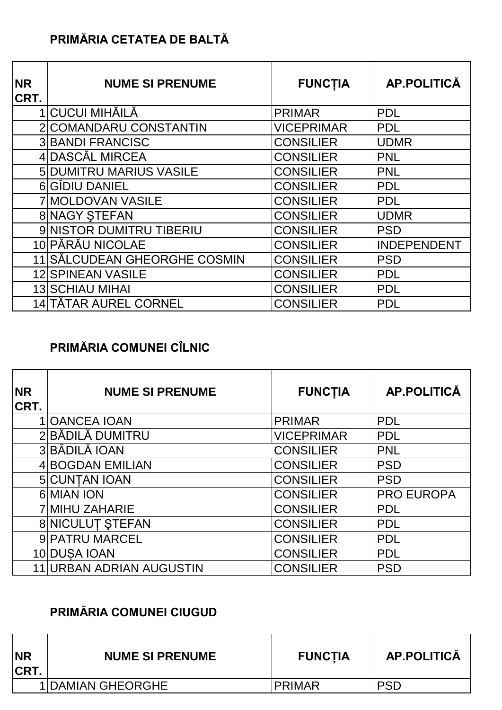### **PRIMĂRIA CETATEA DE BALTĂ**

| <b>NR</b><br>CRT. | <b>NUME SI PRENUME</b>         | <b>FUNCTIA</b>    | AP.POLITICĂ |
|-------------------|--------------------------------|-------------------|-------------|
|                   | 1   CUCUI MIHĂILĂ              | <b>PRIMAR</b>     | <b>PDL</b>  |
|                   | 2 COMANDARU CONSTANTIN         | <b>VICEPRIMAR</b> | <b>PDL</b>  |
|                   | <b>3 BANDI FRANCISC</b>        | <b>CONSILIER</b>  | <b>UDMR</b> |
|                   | 4 DASCĂL MIRCEA                | <b>CONSILIER</b>  | <b>PNL</b>  |
|                   | <b>5 DUMITRU MARIUS VASILE</b> | <b>CONSILIER</b>  | <b>PNL</b>  |
|                   | 6 GÎDIU DANIEL                 | <b>CONSILIER</b>  | <b>PDL</b>  |
|                   | <b>7 MOLDOVAN VASILE</b>       | <b>CONSILIER</b>  | <b>PDL</b>  |
|                   | 8 NAGY STEFAN                  | <b>CONSILIER</b>  | <b>UDMR</b> |
|                   | 9 NISTOR DUMITRU TIBERIU       | <b>CONSILIER</b>  | <b>PSD</b>  |
|                   | 10 PĂRĂU NICOLAE               | <b>CONSILIER</b>  | INDEPENDENT |
|                   | 11 SĂLCUDEAN GHEORGHE COSMIN   | <b>CONSILIER</b>  | <b>PSD</b>  |
|                   | <b>12 SPINEAN VASILE</b>       | <b>CONSILIER</b>  | <b>PDL</b>  |
|                   | <b>13 SCHIAU MIHAI</b>         | <b>CONSILIER</b>  | <b>PDL</b>  |
|                   | 14 TĂTAR AUREL CORNEL          | <b>CONSILIER</b>  | <b>PDL</b>  |

### **PRIMĂRIA COMUNEI CÎLNIC**

| <b>NR</b><br>CRT. | <b>NUME SI PRENUME</b>       | <b>FUNCTIA</b>    | <b>AP.POLITICĂ</b> |
|-------------------|------------------------------|-------------------|--------------------|
|                   | 1 OANCEA IOAN                | <b>PRIMAR</b>     | <b>PDL</b>         |
|                   | 2 BĂDILĂ DUMITRU             | <b>VICEPRIMAR</b> | <b>PDL</b>         |
|                   | 3 BĂDILĂ IOAN                | <b>CONSILIER</b>  | <b>PNL</b>         |
|                   | <b>4 BOGDAN EMILIAN</b>      | <b>CONSILIER</b>  | <b>PSD</b>         |
|                   | 5 CUNTAN IOAN                | <b>CONSILIER</b>  | <b>PSD</b>         |
|                   | 6 MIAN ION                   | <b>CONSILIER</b>  | <b>PRO EUROPA</b>  |
|                   | <b>7 MIHU ZAHARIE</b>        | <b>CONSILIER</b>  | <b>PDL</b>         |
|                   | <b>8 NICULUT STEFAN</b>      | <b>CONSILIER</b>  | <b>PDL</b>         |
|                   | 9 PATRU MARCEL               | <b>CONSILIER</b>  | <b>PDL</b>         |
|                   | 10 DUSA IOAN                 | <b>CONSILIER</b>  | <b>PDL</b>         |
|                   | <b>URBAN ADRIAN AUGUSTIN</b> | <b>CONSILIER</b>  | <b>PSD</b>         |

#### **PRIMĂRIA COMUNEI CIUGUD**

| <b>NR</b><br>ICRT. | <b>NUME SI PRENUME</b>   | <b>FUNCTIA</b> | <b>AP.POLITICĂ</b> |
|--------------------|--------------------------|----------------|--------------------|
|                    | <b>1 DAMIAN GHEORGHE</b> | <b>PRIMAR</b>  | <b>PSD</b>         |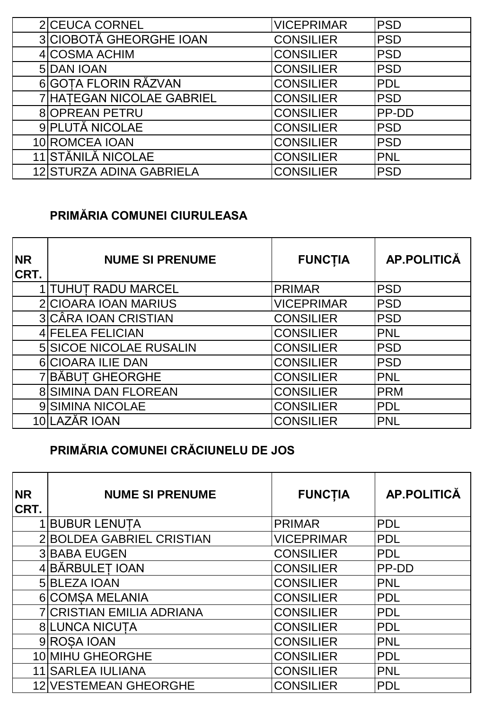| 2 CEUCA CORNEL            | <b>VICEPRIMAR</b> | <b>PSD</b>   |
|---------------------------|-------------------|--------------|
| 3 CIOBOTĂ GHEORGHE IOAN   | <b>CONSILIER</b>  | <b>PSD</b>   |
| 4 COSMA ACHIM             | <b>CONSILIER</b>  | <b>PSD</b>   |
| 5 DAN JOAN                | <b>CONSILIER</b>  | <b>PSD</b>   |
| 6 GOTA FLORIN RĂZVAN      | <b>CONSILIER</b>  | <b>PDL</b>   |
| 7 HATEGAN NICOLAE GABRIEL | <b>CONSILIER</b>  | <b>PSD</b>   |
| <b>8 OPREAN PETRU</b>     | <b>CONSILIER</b>  | <b>PP-DD</b> |
| 9 PLUTĂ NICOLAE           | <b>CONSILIER</b>  | <b>PSD</b>   |
| 10 ROMCEA IOAN            | <b>CONSILIER</b>  | <b>PSD</b>   |
| 11 STĂNILĂ NICOLAE        | <b>CONSILIER</b>  | <b>PNL</b>   |
| 12 STURZA ADINA GABRIELA  | <b>CONSILIER</b>  | <b>PSD</b>   |

### **PRIMĂRIA COMUNEI CIURULEASA**

| <b>NR</b><br>CRT. | <b>NUME SI PRENUME</b>         | <b>FUNCTIA</b>    | <b>AP.POLITICĂ</b> |
|-------------------|--------------------------------|-------------------|--------------------|
|                   | 1 TUHUT RADU MARCEL            | <b>PRIMAR</b>     | <b>PSD</b>         |
|                   | 2 CIOARA IOAN MARIUS           | <b>VICEPRIMAR</b> | <b>PSD</b>         |
|                   | 3 CÂRA IOAN CRISTIAN           | <b>CONSILIER</b>  | <b>PSD</b>         |
|                   | 4 FELEA FELICIAN               | <b>CONSILIER</b>  | <b>PNL</b>         |
|                   | <b>5 SICOE NICOLAE RUSALIN</b> | <b>CONSILIER</b>  | <b>PSD</b>         |
|                   | <b>6 CIOARA ILIE DAN</b>       | <b>CONSILIER</b>  | <b>PSD</b>         |
|                   | <b>7 BÅBUT GHEORGHE</b>        | <b>CONSILIER</b>  | <b>PNL</b>         |
|                   | <b>8 SIMINA DAN FLOREAN</b>    | <b>CONSILIER</b>  | <b>PRM</b>         |
|                   | 9 SIMINA NICOLAE               | <b>CONSILIER</b>  | <b>PDL</b>         |
|                   | 10 LAZĂR IOAN                  | <b>CONSILIER</b>  | <b>PNL</b>         |

### **PRIMĂRIA COMUNEI CRĂCIUNELU DE JOS**

| <b>NR</b><br>CRT. | <b>NUME SI PRENUME</b>           | <b>FUNCTIA</b>    | <b>AP.POLITICĂ</b> |
|-------------------|----------------------------------|-------------------|--------------------|
|                   | <b>BUBUR LENUTA</b>              | <b>PRIMAR</b>     | <b>PDL</b>         |
|                   | <b>BOLDEA GABRIEL CRISTIAN</b>   | <b>VICEPRIMAR</b> | <b>PDL</b>         |
|                   | <b>3 BABA EUGEN</b>              | <b>CONSILIER</b>  | <b>PDL</b>         |
|                   | <b>BĂRBULEȚ IOAN</b>             | <b>CONSILIER</b>  | <b>PP-DD</b>       |
|                   | 5 BLEZA IOAN                     | <b>CONSILIER</b>  | PNL                |
|                   | 6 COMSA MELANIA                  | <b>CONSILIER</b>  | <b>PDL</b>         |
|                   | <b>7 CRISTIAN EMILIA ADRIANA</b> | <b>CONSILIER</b>  | <b>PDL</b>         |
|                   | <b>8 LUNCA NICUTA</b>            | <b>CONSILIER</b>  | <b>PDL</b>         |
|                   | 9 ROSA IOAN                      | <b>CONSILIER</b>  | <b>PNL</b>         |
|                   | 10 MIHU GHEORGHE                 | <b>CONSILIER</b>  | <b>PDL</b>         |
|                   | 11 SARLEA IULIANA                | <b>CONSILIER</b>  | PNL                |
| 12                | <b>VESTEMEAN GHEORGHE</b>        | <b>CONSILIER</b>  | <b>PDL</b>         |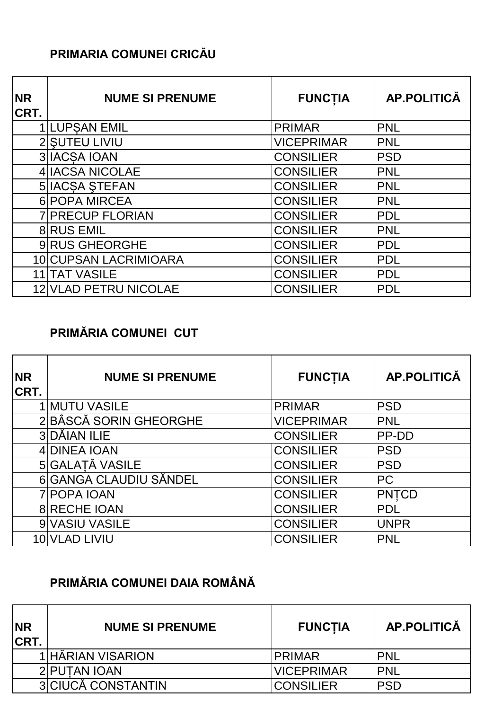#### **PRIMARIA COMUNEI CRICĂU**

| <b>NR</b><br>CRT. | <b>NUME SI PRENUME</b>       | <b>FUNCTIA</b>    | <b>AP.POLITICĂ</b> |
|-------------------|------------------------------|-------------------|--------------------|
|                   | 1 LUPSAN EMIL                | <b>PRIMAR</b>     | <b>PNL</b>         |
|                   | 2 SUTEU LIVIU                | <b>VICEPRIMAR</b> | <b>PNL</b>         |
|                   | 3 IACSA IOAN                 | <b>CONSILIER</b>  | <b>PSD</b>         |
|                   | 4 IACSA NICOLAE              | <b>CONSILIER</b>  | <b>PNL</b>         |
|                   | <b>5 IACSA STEFAN</b>        | <b>CONSILIER</b>  | <b>PNL</b>         |
|                   | 6 POPA MIRCEA                | <b>CONSILIER</b>  | <b>PNL</b>         |
|                   | <b>7 PRECUP FLORIAN</b>      | <b>CONSILIER</b>  | <b>PDL</b>         |
|                   | <b>8 RUS EMIL</b>            | <b>CONSILIER</b>  | <b>PNL</b>         |
|                   | 9 RUS GHEORGHE               | <b>CONSILIER</b>  | <b>PDL</b>         |
|                   | 10 CUPSAN LACRIMIOARA        | <b>CONSILIER</b>  | <b>PDL</b>         |
| 11                | <b>TAT VASILE</b>            | <b>CONSILIER</b>  | <b>PDL</b>         |
|                   | <b>12 VLAD PETRU NICOLAE</b> | <b>CONSILIER</b>  | <b>PDL</b>         |

### **PRIMĂRIA COMUNEI CUT**

| <b>NR</b><br>CRT. | <b>NUME SI PRENUME</b> | <b>FUNCTIA</b>    | AP.POLITICĂ  |
|-------------------|------------------------|-------------------|--------------|
|                   | 1 MUTU VASILE          | <b>PRIMAR</b>     | <b>PSD</b>   |
|                   | 2BÂSCĂ SORIN GHEORGHE  | <b>VICEPRIMAR</b> | PNL          |
|                   | 3 DĂIAN ILIE           | <b>CONSILIER</b>  | <b>PP-DD</b> |
|                   | 4 DINEA IOAN           | <b>CONSILIER</b>  | <b>PSD</b>   |
|                   | 5 GALATĂ VASILE        | <b>CONSILIER</b>  | <b>PSD</b>   |
|                   | 6 GANGA CLAUDIU SĂNDEL | <b>CONSILIER</b>  | PC           |
|                   | 7 POPA IOAN            | <b>CONSILIER</b>  | <b>PNTCD</b> |
|                   | <b>8 RECHE IOAN</b>    | <b>CONSILIER</b>  | <b>PDL</b>   |
|                   | 9 VASIU VASILE         | <b>CONSILIER</b>  | <b>UNPR</b>  |
|                   | 10 VLAD LIVIU          | <b>CONSILIER</b>  | <b>PNL</b>   |

### **PRIMĂRIA COMUNEI DAIA ROMÂNĂ**

| <b>NR</b><br><b>CRT.</b> | <b>NUME SI PRENUME</b>    | <b>FUNCTIA</b>    | AP.POLITICĂ |
|--------------------------|---------------------------|-------------------|-------------|
|                          | 1 HĂRIAN VISARION         | <b>PRIMAR</b>     | <b>PNL</b>  |
|                          | 2 PUTAN IOAN              | <b>VICEPRIMAR</b> | <b>IPNL</b> |
|                          | <b>3</b> CIUCĂ CONSTANTIN | <b>CONSILIER</b>  | <b>PSD</b>  |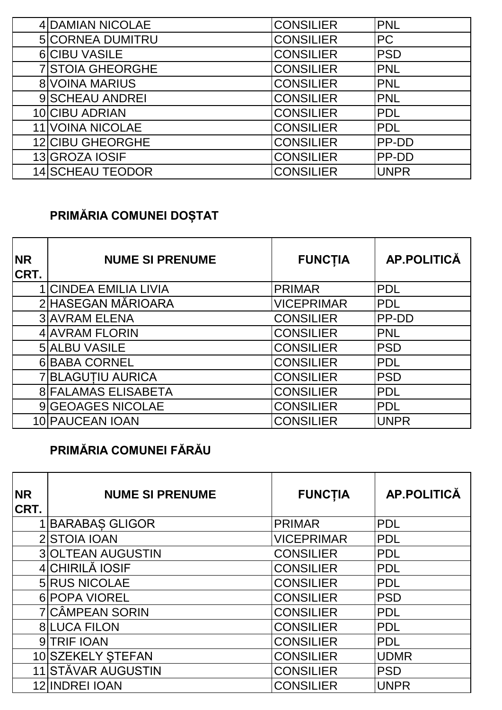| 4 DAMIAN NICOLAE        | <b>CONSILIER</b> | <b>PNL</b>   |
|-------------------------|------------------|--------------|
| <b>5 CORNEA DUMITRU</b> | <b>CONSILIER</b> | <b>PC</b>    |
| 6 CIBU VASILE           | <b>CONSILIER</b> | <b>PSD</b>   |
| <b>7 STOIA GHEORGHE</b> | <b>CONSILIER</b> | <b>PNL</b>   |
| <b>8 VOINA MARIUS</b>   | <b>CONSILIER</b> | <b>PNL</b>   |
| 9 SCHEAU ANDREI         | <b>CONSILIER</b> | <b>PNL</b>   |
| 10 CIBU ADRIAN          | <b>CONSILIER</b> | <b>PDL</b>   |
| <b>11 VOINA NICOLAE</b> | <b>CONSILIER</b> | <b>PDL</b>   |
| 12 CIBU GHEORGHE        | <b>CONSILIER</b> | <b>PP-DD</b> |
| 13 GROZA IOSIF          | <b>CONSILIER</b> | <b>PP-DD</b> |
| <b>14 SCHEAU TEODOR</b> | <b>CONSILIER</b> | <b>UNPR</b>  |

## **PRIMĂRIA COMUNEI DOȘTAT**

| <b>NR</b><br>CRT. | <b>NUME SI PRENUME</b>     | <b>FUNCTIA</b>    | <b>AP.POLITICĂ</b> |
|-------------------|----------------------------|-------------------|--------------------|
|                   | 1 CINDEA EMILIA LIVIA      | <b>PRIMAR</b>     | <b>PDL</b>         |
|                   | 2 HASEGAN MĂRIOARA         | <b>VICEPRIMAR</b> | <b>PDL</b>         |
|                   | <b>3 AVRAM ELENA</b>       | <b>CONSILIER</b>  | PP-DD              |
|                   | 4 AVRAM FLORIN             | <b>CONSILIER</b>  | <b>PNL</b>         |
|                   | 5 ALBU VASILE              | <b>CONSILIER</b>  | <b>PSD</b>         |
|                   | 6 BABA CORNEL              | <b>CONSILIER</b>  | <b>PDL</b>         |
|                   | <b>7 BLAGUTIU AURICA</b>   | <b>CONSILIER</b>  | <b>PSD</b>         |
|                   | <b>8 FALAMAS ELISABETA</b> | <b>CONSILIER</b>  | <b>PDL</b>         |
|                   | 9 GEOAGES NICOLAE          | <b>CONSILIER</b>  | <b>PDL</b>         |
|                   | 10 PAUCEAN IOAN            | <b>CONSILIER</b>  | <b>UNPR</b>        |

### **PRIMĂRIA COMUNEI FĂRĂU**

| <b>NR</b><br>CRT. | <b>NUME SI PRENUME</b>   | <b>FUNCTIA</b>    | AP.POLITICĂ |
|-------------------|--------------------------|-------------------|-------------|
|                   | <b>BARABAS GLIGOR</b>    | <b>PRIMAR</b>     | <b>PDL</b>  |
|                   | 2 STOIA IOAN             | <b>VICEPRIMAR</b> | <b>PDL</b>  |
|                   | <b>3 OLTEAN AUGUSTIN</b> | <b>CONSILIER</b>  | <b>PDL</b>  |
|                   | 4 CHIRILĂ IOSIF          | <b>CONSILIER</b>  | <b>PDL</b>  |
|                   | <b>5 RUS NICOLAE</b>     | <b>CONSILIER</b>  | <b>PDL</b>  |
|                   | 6 POPA VIOREL            | <b>CONSILIER</b>  | <b>PSD</b>  |
|                   | <b>7 CÂMPEAN SORIN</b>   | <b>CONSILIER</b>  | <b>PDL</b>  |
|                   | <b>8 LUCA FILON</b>      | <b>CONSILIER</b>  | <b>PDL</b>  |
|                   | 9 TRIF IOAN              | <b>CONSILIER</b>  | <b>PDL</b>  |
|                   | 10 SZEKELY STEFAN        | <b>CONSILIER</b>  | <b>UDMR</b> |
|                   | 11 STĂVAR AUGUSTIN       | <b>CONSILIER</b>  | <b>PSD</b>  |
|                   | 12 INDREI IOAN           | <b>CONSILIER</b>  | <b>UNPR</b> |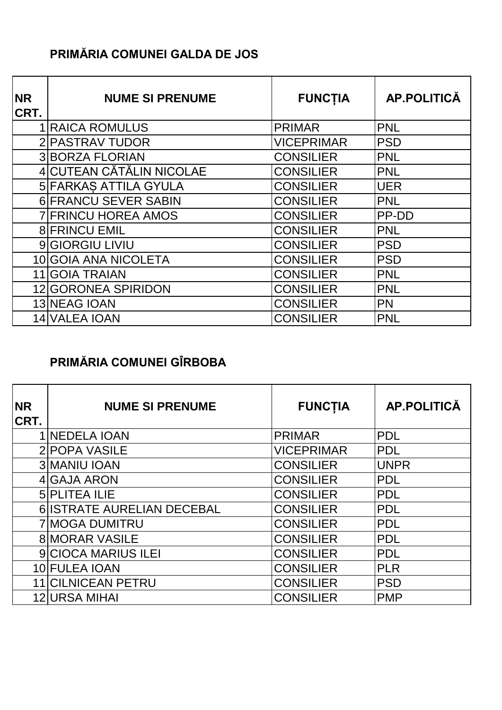#### **PRIMĂRIA COMUNEI GALDA DE JOS**

| <b>NR</b><br>CRT. | <b>NUME SI PRENUME</b>     | <b>FUNCTIA</b>    | <b>AP.POLITICĂ</b> |
|-------------------|----------------------------|-------------------|--------------------|
|                   | <b>1 RAICA ROMULUS</b>     | <b>PRIMAR</b>     | <b>PNL</b>         |
|                   | 2 PASTRAV TUDOR            | <b>VICEPRIMAR</b> | <b>PSD</b>         |
|                   | <b>3 BORZA FLORIAN</b>     | <b>CONSILIER</b>  | <b>PNL</b>         |
|                   | 4 CUTEAN CĂTĂLIN NICOLAE   | <b>CONSILIER</b>  | <b>PNL</b>         |
|                   | 5 FARKAS ATTILA GYULA      | <b>CONSILIER</b>  | <b>UER</b>         |
|                   | 6 FRANCU SEVER SABIN       | <b>CONSILIER</b>  | <b>PNL</b>         |
|                   | <b>7 FRINCU HOREA AMOS</b> | <b>CONSILIER</b>  | PP-DD              |
|                   | <b>8 FRINCU EMIL</b>       | <b>CONSILIER</b>  | <b>PNL</b>         |
|                   | 9 GIORGIU LIVIU            | <b>CONSILIER</b>  | <b>PSD</b>         |
|                   | 10 GOIA ANA NICOLETA       | <b>CONSILIER</b>  | <b>PSD</b>         |
|                   | 11 GOIA TRAIAN             | <b>CONSILIER</b>  | <b>PNL</b>         |
|                   | 12 GORONEA SPIRIDON        | <b>CONSILIER</b>  | <b>PNL</b>         |
|                   | 13 NEAG IOAN               | <b>CONSILIER</b>  | <b>PN</b>          |
|                   | 14 VALEA IOAN              | <b>CONSILIER</b>  | <b>PNL</b>         |

### **PRIMĂRIA COMUNEI GÎRBOBA**

| <b>NR</b><br>CRT. | <b>NUME SI PRENUME</b>     | <b>FUNCTIA</b>    | <b>AP.POLITICĂ</b> |
|-------------------|----------------------------|-------------------|--------------------|
|                   | <b>1 NEDELA IOAN</b>       | <b>PRIMAR</b>     | <b>PDL</b>         |
|                   | 2 POPA VASILE              | <b>VICEPRIMAR</b> | <b>PDL</b>         |
|                   | <b>3 MANIU IOAN</b>        | <b>CONSILIER</b>  | <b>UNPR</b>        |
|                   | 4 GAJA ARON                | <b>CONSILIER</b>  | <b>PDL</b>         |
|                   | <b>5 PLITEA ILIE</b>       | <b>CONSILIER</b>  | <b>PDL</b>         |
|                   | 6 ISTRATE AURELIAN DECEBAL | <b>CONSILIER</b>  | <b>PDL</b>         |
|                   | <b>7 MOGA DUMITRU</b>      | <b>CONSILIER</b>  | <b>PDL</b>         |
|                   | <b>8 MORAR VASILE</b>      | <b>CONSILIER</b>  | <b>PDL</b>         |
|                   | <b>9 CIOCA MARIUS ILEI</b> | <b>CONSILIER</b>  | <b>PDL</b>         |
|                   | 10 FULEA IOAN              | <b>CONSILIER</b>  | <b>PLR</b>         |
|                   | 11 CILNICEAN PETRU         | <b>CONSILIER</b>  | <b>PSD</b>         |
|                   | 12 URSA MIHAI              | <b>CONSILIER</b>  | <b>PMP</b>         |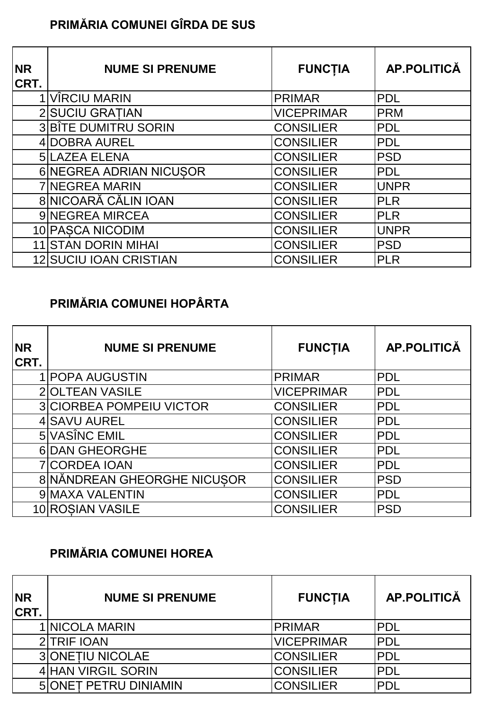### **PRIMĂRIA COMUNEI GÎRDA DE SUS**

| <b>NR</b><br>CRT. | <b>NUME SI PRENUME</b>     | <b>FUNCTIA</b>    | AP.POLITICĂ |
|-------------------|----------------------------|-------------------|-------------|
|                   | VÎRCIU MARIN               | <b>PRIMAR</b>     | <b>PDL</b>  |
|                   | 2 SUCIU GRATIAN            | <b>VICEPRIMAR</b> | <b>PRM</b>  |
|                   | 3 BÎTE DUMITRU SORIN       | <b>CONSILIER</b>  | <b>PDL</b>  |
|                   | 4 DOBRA AUREL              | <b>CONSILIER</b>  | <b>PDL</b>  |
|                   | <b>5 LAZEA ELENA</b>       | <b>CONSILIER</b>  | <b>PSD</b>  |
|                   | 6 NEGREA ADRIAN NICUSOR    | <b>CONSILIER</b>  | <b>PDL</b>  |
|                   | <b>7 NEGREA MARIN</b>      | <b>CONSILIER</b>  | <b>UNPR</b> |
|                   | 8 NICOARĂ CĂLIN IOAN       | <b>CONSILIER</b>  | <b>PLR</b>  |
|                   | 9 NEGREA MIRCEA            | <b>CONSILIER</b>  | <b>PLR</b>  |
|                   | 10 PASCA NICODIM           | <b>CONSILIER</b>  | <b>UNPR</b> |
|                   | <b>11 STAN DORIN MIHAI</b> | <b>CONSILIER</b>  | <b>PSD</b>  |
|                   | 12 SUCIU IOAN CRISTIAN     | <b>CONSILIER</b>  | <b>PLR</b>  |

### **PRIMĂRIA COMUNEI HOPÂRTA**

| <b>NR</b><br>CRT. | <b>NUME SI PRENUME</b>          | <b>FUNCTIA</b>    | <b>AP.POLITICĂ</b> |
|-------------------|---------------------------------|-------------------|--------------------|
|                   | <b>POPA AUGUSTIN</b>            | <b>PRIMAR</b>     | <b>PDL</b>         |
|                   | 2 OLTEAN VASILE                 | <b>VICEPRIMAR</b> | <b>PDL</b>         |
|                   | <b>3 CIORBEA POMPEIU VICTOR</b> | <b>CONSILIER</b>  | <b>PDL</b>         |
|                   | 4 SAVU AUREL                    | <b>CONSILIER</b>  | <b>PDL</b>         |
|                   | 5 VASÎNC EMIL                   | <b>CONSILIER</b>  | <b>PDL</b>         |
|                   | <b>6DAN GHEORGHE</b>            | <b>CONSILIER</b>  | <b>PDL</b>         |
|                   | <b>7 CORDEA IOAN</b>            | <b>CONSILIER</b>  | <b>PDL</b>         |
|                   | 8 NĂNDREAN GHEORGHE NICUSOR     | <b>CONSILIER</b>  | <b>PSD</b>         |
|                   | 9 MAXA VALENTIN                 | <b>CONSILIER</b>  | <b>PDL</b>         |
|                   | 10 ROSIAN VASILE                | <b>CONSILIER</b>  | <b>PSD</b>         |

### **PRIMĂRIA COMUNEI HOREA**

| <b>NR</b><br><b>CRT.</b> | <b>NUME SI PRENUME</b>       | <b>FUNCTIA</b>    | AP.POLITICĂ |
|--------------------------|------------------------------|-------------------|-------------|
|                          | 1 NICOLA MARIN               | <b>PRIMAR</b>     | <b>PDL</b>  |
|                          | 2 TRIF IOAN                  | <b>VICEPRIMAR</b> | <b>IPDL</b> |
|                          | <b>3 ONETIU NICOLAE</b>      | <b>CONSILIER</b>  | <b>PDL</b>  |
|                          | <b>4 HAN VIRGIL SORIN</b>    | <b>CONSILIER</b>  | <b>PDL</b>  |
|                          | <b>5 ONET PETRU DINIAMIN</b> | <b>CONSILIER</b>  | <b>PDL</b>  |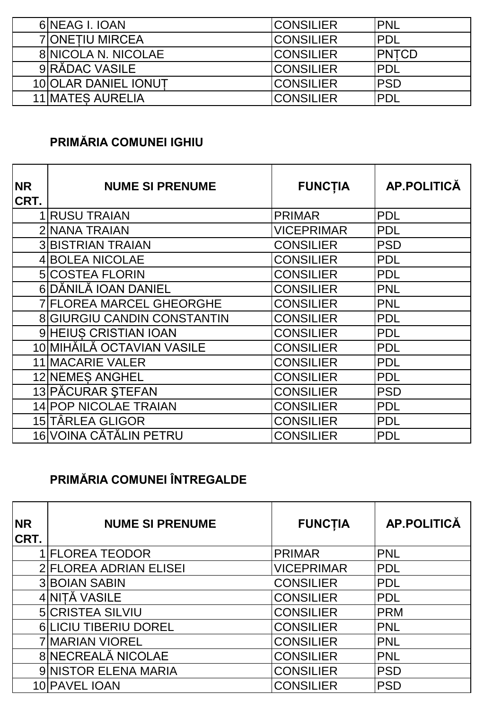| 6 NEAG I. IOAN             | <b>CONSILIER</b> | IPNL          |
|----------------------------|------------------|---------------|
| <b>7 ONETIU MIRCEA</b>     | <b>CONSILIER</b> | IPDL          |
| <b>8 NICOLA N. NICOLAE</b> | <b>CONSILIER</b> | <b>IPNTCD</b> |
| 9 RĂDAC VASILE             | <b>CONSILIER</b> | IPDL          |
| 10 OLAR DANIEL IONUT       | <b>CONSILIER</b> | <b>IPSD</b>   |
| <b>11 MATES AURELIA</b>    | <b>CONSILIER</b> | IPDL          |

#### **PRIMĂRIA COMUNEI IGHIU**

| <b>NR</b><br>CRT. | <b>NUME SI PRENUME</b>             | <b>FUNCTIA</b>    | AP.POLITICĂ |
|-------------------|------------------------------------|-------------------|-------------|
|                   | <b>1 RUSU TRAIAN</b>               | <b>PRIMAR</b>     | <b>PDL</b>  |
|                   | <b>2 NANA TRAIAN</b>               | <b>VICEPRIMAR</b> | <b>PDL</b>  |
|                   | <b>3 BISTRIAN TRAIAN</b>           | <b>CONSILIER</b>  | <b>PSD</b>  |
|                   | <b>4 BOLEA NICOLAE</b>             | <b>CONSILIER</b>  | <b>PDL</b>  |
|                   | <b>5 COSTEA FLORIN</b>             | <b>CONSILIER</b>  | <b>PDL</b>  |
|                   | 6 DĂNILĂ IOAN DANIEL               | <b>CONSILIER</b>  | <b>PNL</b>  |
|                   | <b>7 FLOREA MARCEL GHEORGHE</b>    | <b>CONSILIER</b>  | <b>PNL</b>  |
|                   | <b>8 GIURGIU CANDIN CONSTANTIN</b> | <b>CONSILIER</b>  | <b>PDL</b>  |
|                   | 9 HEIUS CRISTIAN IOAN              | <b>CONSILIER</b>  | <b>PDL</b>  |
|                   | 10 MIHĂILĂ OCTAVIAN VASILE         | <b>CONSILIER</b>  | <b>PDL</b>  |
|                   | <b>11 MACARIE VALER</b>            | <b>CONSILIER</b>  | <b>PDL</b>  |
|                   | 12 NEMES ANGHEL                    | <b>CONSILIER</b>  | <b>PDL</b>  |
|                   | 13 PĂCURAR ȘTEFAN                  | <b>CONSILIER</b>  | <b>PSD</b>  |
|                   | 14 POP NICOLAE TRAIAN              | <b>CONSILIER</b>  | <b>PDL</b>  |
|                   | 15 TÂRLEA GLIGOR                   | <b>CONSILIER</b>  | <b>PDL</b>  |
|                   | 16 VOINA CĂTĂLIN PETRU             | <b>CONSILIER</b>  | <b>PDL</b>  |

## **PRIMĂRIA COMUNEI ÎNTREGALDE**

| <b>NR</b><br>CRT. | <b>NUME SI PRENUME</b>  | <b>FUNCTIA</b>    | <b>AP.POLITICĂ</b> |
|-------------------|-------------------------|-------------------|--------------------|
|                   | 1 FLOREA TEODOR         | PRIMAR            | <b>PNL</b>         |
|                   | 2 FLOREA ADRIAN ELISEI  | <b>VICEPRIMAR</b> | <b>PDL</b>         |
|                   | <b>3 BOIAN SABIN</b>    | <b>CONSILIER</b>  | <b>PDL</b>         |
|                   | 4 NITĂ VASILE           | <b>CONSILIER</b>  | <b>PDL</b>         |
|                   | <b>5 CRISTEA SILVIU</b> | <b>CONSILIER</b>  | <b>PRM</b>         |
|                   | 6 LICIU TIBERIU DOREL   | <b>CONSILIER</b>  | <b>PNL</b>         |
|                   | <b>7 MARIAN VIOREL</b>  | <b>CONSILIER</b>  | <b>PNL</b>         |
|                   | 8 NECREALĂ NICOLAE      | <b>CONSILIER</b>  | <b>PNL</b>         |
|                   | 9 NISTOR ELENA MARIA    | <b>CONSILIER</b>  | <b>PSD</b>         |
|                   | 10 PAVEL IOAN           | <b>CONSILIER</b>  | <b>PSD</b>         |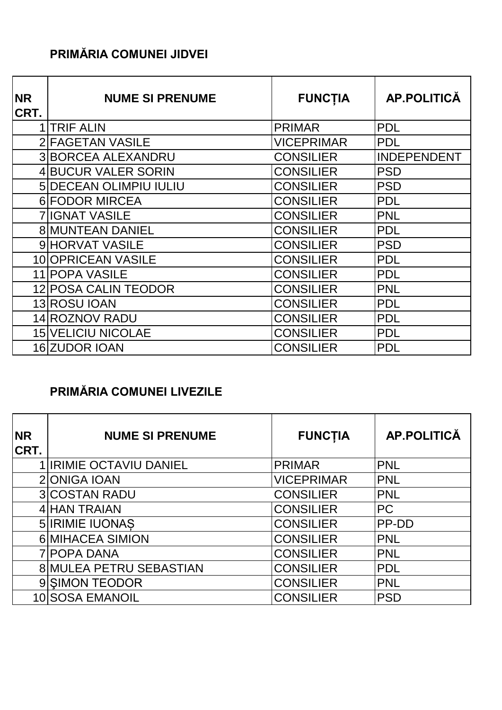#### **PRIMĂRIA COMUNEI JIDVEI**

| <b>NR</b><br>CRT. | <b>NUME SI PRENUME</b>    | <b>FUNCTIA</b>    | AP.POLITICĂ        |
|-------------------|---------------------------|-------------------|--------------------|
|                   | <b>ITRIF ALIN</b>         | <b>PRIMAR</b>     | <b>PDL</b>         |
|                   | 2 FAGETAN VASILE          | <b>VICEPRIMAR</b> | <b>PDL</b>         |
|                   | <b>3 BORCEA ALEXANDRU</b> | <b>CONSILIER</b>  | <b>INDEPENDENT</b> |
|                   | 4 BUCUR VALER SORIN       | <b>CONSILIER</b>  | <b>PSD</b>         |
|                   | 5 DECEAN OLIMPIU IULIU    | <b>CONSILIER</b>  | <b>PSD</b>         |
|                   | 6 FODOR MIRCEA            | <b>CONSILIER</b>  | <b>PDL</b>         |
|                   | <b>7 IIGNAT VASILE</b>    | <b>CONSILIER</b>  | <b>PNL</b>         |
|                   | <b>8 MUNTEAN DANIEL</b>   | <b>CONSILIER</b>  | <b>PDL</b>         |
|                   | <b>9 HORVAT VASILE</b>    | <b>CONSILIER</b>  | <b>PSD</b>         |
|                   | 10 OPRICEAN VASILE        | <b>CONSILIER</b>  | <b>PDL</b>         |
|                   | 11 POPA VASILE            | <b>CONSILIER</b>  | <b>PDL</b>         |
|                   | 12 POSA CALIN TEODOR      | <b>CONSILIER</b>  | <b>PNL</b>         |
|                   | 13 ROSU IOAN              | <b>CONSILIER</b>  | <b>PDL</b>         |
|                   | 14 ROZNOV RADU            | <b>CONSILIER</b>  | <b>PDL</b>         |
|                   | <b>15 VELICIU NICOLAE</b> | <b>CONSILIER</b>  | <b>PDL</b>         |
|                   | 16 ZUDOR IOAN             | <b>CONSILIER</b>  | <b>PDL</b>         |

### **PRIMĂRIA COMUNEI LIVEZILE**

| <b>NR</b><br>CRT. | <b>NUME SI PRENUME</b>         | <b>FUNCTIA</b>    | <b>AP.POLITICĂ</b> |
|-------------------|--------------------------------|-------------------|--------------------|
|                   | <b>1 IRIMIE OCTAVIU DANIEL</b> | <b>PRIMAR</b>     | <b>PNL</b>         |
|                   | 2 ONIGA IOAN                   | <b>VICEPRIMAR</b> | <b>PNL</b>         |
|                   | <b>3 COSTAN RADU</b>           | <b>CONSILIER</b>  | <b>PNL</b>         |
|                   | 4 HAN TRAIAN                   | <b>CONSILIER</b>  | <b>PC</b>          |
|                   | <b>5 IRIMIE IUONAS</b>         | <b>CONSILIER</b>  | <b>PP-DD</b>       |
|                   | 6 MIHACEA SIMION               | <b>CONSILIER</b>  | <b>PNL</b>         |
|                   | <b>7 POPA DANA</b>             | <b>CONSILIER</b>  | <b>PNL</b>         |
|                   | 8 MULEA PETRU SEBASTIAN        | <b>CONSILIER</b>  | <b>PDL</b>         |
|                   | 9 SIMON TEODOR                 | <b>CONSILIER</b>  | <b>PNL</b>         |
|                   | 10 SOSA EMANOIL                | <b>CONSILIER</b>  | <b>PSD</b>         |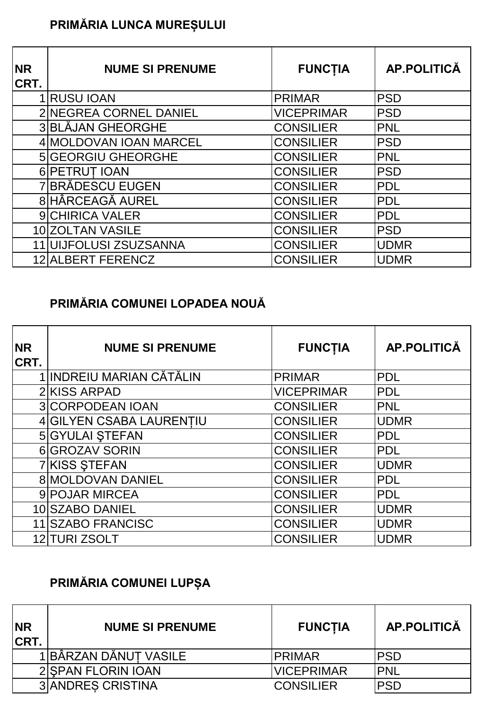## **PRIMĂRIA LUNCA MUREȘULUI**

| <b>NR</b><br>CRT. | <b>NUME SI PRENUME</b>    | <b>FUNCTIA</b>    | <b>AP.POLITICĂ</b> |
|-------------------|---------------------------|-------------------|--------------------|
|                   | 1 RUSU IOAN               | <b>PRIMAR</b>     | <b>PSD</b>         |
|                   | 2 NEGREA CORNEL DANIEL    | <b>VICEPRIMAR</b> | <b>PSD</b>         |
|                   | 3 BLAJAN GHEORGHE         | <b>CONSILIER</b>  | <b>PNL</b>         |
|                   | 4 MOLDOVAN IOAN MARCEL    | <b>CONSILIER</b>  | <b>PSD</b>         |
|                   | <b>5 GEORGIU GHEORGHE</b> | <b>CONSILIER</b>  | <b>PNL</b>         |
|                   | 6 PETRUT IOAN             | <b>CONSILIER</b>  | <b>PSD</b>         |
|                   | 7 BRADESCU EUGEN          | <b>CONSILIER</b>  | <b>PDL</b>         |
|                   | 8 HÂRCEAGĂ AUREL          | <b>CONSILIER</b>  | <b>PDL</b>         |
|                   | <b>9 CHIRICA VALER</b>    | <b>CONSILIER</b>  | <b>PDL</b>         |
|                   | 10 ZOLTAN VASILE          | <b>CONSILIER</b>  | <b>PSD</b>         |
|                   | 11 UIJFOLUSI ZSUZSANNA    | <b>CONSILIER</b>  | <b>UDMR</b>        |
|                   | 12 ALBERT FERENCZ         | <b>CONSILIER</b>  | <b>UDMR</b>        |

### **PRIMĂRIA COMUNEI LOPADEA NOUĂ**

| <b>NR</b><br>CRT. | <b>NUME SI PRENUME</b>   | <b>FUNCTIA</b>    | AP.POLITICĂ |
|-------------------|--------------------------|-------------------|-------------|
|                   | 1 INDREIU MARIAN CĂTĂLIN | <b>PRIMAR</b>     | <b>PDL</b>  |
|                   | 2 KISS ARPAD             | <b>VICEPRIMAR</b> | PDL         |
|                   | <b>3 CORPODEAN IOAN</b>  | <b>CONSILIER</b>  | <b>PNL</b>  |
|                   | 4 GILYEN CSABA LAURENTIU | <b>CONSILIER</b>  | <b>UDMR</b> |
|                   | <b>5 GYULAI STEFAN</b>   | <b>CONSILIER</b>  | <b>PDL</b>  |
|                   | 6 GROZAV SORIN           | <b>CONSILIER</b>  | <b>PDL</b>  |
|                   | 7 KISS STEFAN            | <b>CONSILIER</b>  | <b>UDMR</b> |
|                   | 8 MOLDOVAN DANIEL        | <b>CONSILIER</b>  | <b>PDL</b>  |
|                   | 9 POJAR MIRCEA           | <b>CONSILIER</b>  | <b>PDL</b>  |
|                   | 10 SZABO DANIEL          | <b>CONSILIER</b>  | <b>UDMR</b> |
|                   | 11 SZABO FRANCISC        | <b>CONSILIER</b>  | <b>UDMR</b> |
|                   | 12 TURI ZSOLT            | <b>CONSILIER</b>  | <b>UDMR</b> |

# **PRIMĂRIA COMUNEI LUPȘA**

| <b>NR</b><br><b>CRT.</b> | <b>NUME SI PRENUME</b>   | <b>FUNCTIA</b>    | <b>AP.POLITICĂ</b> |
|--------------------------|--------------------------|-------------------|--------------------|
|                          | 1 BÂRZAN DĂNUȚ VASILE    | <b>PRIMAR</b>     | <b>PSD</b>         |
|                          | 2 SPAN FLORIN IOAN       | <b>VICEPRIMAR</b> | <b>IPNL</b>        |
|                          | <b>3 ANDRES CRISTINA</b> | <b>CONSILIER</b>  | <b>PSD</b>         |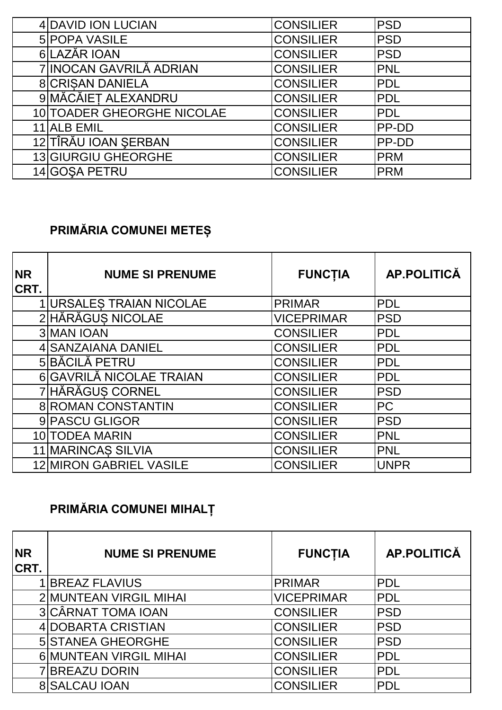| 4 DAVID ION LUCIAN         | <b>CONSILIER</b> | <b>PSD</b> |
|----------------------------|------------------|------------|
| <b>5 POPA VASILE</b>       | <b>CONSILIER</b> | <b>PSD</b> |
| 6LAZĂR IOAN                | <b>CONSILIER</b> | <b>PSD</b> |
| 7 INOCAN GAVRILĂ ADRIAN    | <b>CONSILIER</b> | <b>PNL</b> |
| <b>8 CRISAN DANIELA</b>    | <b>CONSILIER</b> | <b>PDL</b> |
| 9 MĂCĂIEȚ ALEXANDRU        | <b>CONSILIER</b> | <b>PDL</b> |
| 10 TOADER GHEORGHE NICOLAE | <b>CONSILIER</b> | <b>PDL</b> |
| 11 ALB EMIL                | <b>CONSILIER</b> | PP-DD      |
| 12 TÎRĂU IOAN ŞERBAN       | <b>CONSILIER</b> | PP-DD      |
| 13 GIURGIU GHEORGHE        | <b>CONSILIER</b> | <b>PRM</b> |
| 14 GOSA PETRU              | <b>CONSILIER</b> | <b>PRM</b> |

### **PRIMĂRIA COMUNEI METEȘ**

| <b>NR</b><br>CRT. | <b>NUME SI PRENUME</b>          | <b>FUNCTIA</b>    | AP.POLITICĂ |
|-------------------|---------------------------------|-------------------|-------------|
|                   | <b>1 URSALES TRAIAN NICOLAE</b> | <b>PRIMAR</b>     | <b>PDL</b>  |
|                   | 2 HĂRĂGUS NICOLAE               | <b>VICEPRIMAR</b> | <b>PSD</b>  |
|                   | <b>3 MAN IOAN</b>               | <b>CONSILIER</b>  | <b>PDL</b>  |
|                   | 4 SANZAIANA DANIEL              | <b>CONSILIER</b>  | <b>IPDL</b> |
|                   | 5 BĂCILĂ PETRU                  | <b>CONSILIER</b>  | <b>PDL</b>  |
|                   | 6 GAVRILĂ NICOLAE TRAIAN        | <b>CONSILIER</b>  | <b>PDL</b>  |
|                   | 7 HĂRĂGUS CORNEL                | <b>CONSILIER</b>  | <b>PSD</b>  |
|                   | <b>8 ROMAN CONSTANTIN</b>       | <b>CONSILIER</b>  | <b>PC</b>   |
|                   | 9 PASCU GLIGOR                  | <b>CONSILIER</b>  | <b>PSD</b>  |
|                   | 10 TODEA MARIN                  | <b>CONSILIER</b>  | <b>PNL</b>  |
|                   | 11 MARINCAS SILVIA              | <b>CONSILIER</b>  | PNL         |
|                   | <b>12 MIRON GABRIEL VASILE</b>  | <b>CONSILIER</b>  | <b>UNPR</b> |

## **PRIMĂRIA COMUNEI MIHALȚ**

| <b>NR</b><br><b>CRT.</b> | <b>NUME SI PRENUME</b>    | <b>FUNCTIA</b>    | <b>AP.POLITICĂ</b> |
|--------------------------|---------------------------|-------------------|--------------------|
|                          | <b>BREAZ FLAVIUS</b>      | <b>PRIMAR</b>     | <b>PDL</b>         |
|                          | 2 MUNTEAN VIRGIL MIHAI    | <b>VICEPRIMAR</b> | <b>PDL</b>         |
|                          | <b>3 CÂRNAT TOMA IOAN</b> | <b>CONSILIER</b>  | <b>PSD</b>         |
|                          | 4 DOBARTA CRISTIAN        | <b>CONSILIER</b>  | <b>PSD</b>         |
|                          | <b>5 STANEA GHEORGHE</b>  | <b>CONSILIER</b>  | <b>PSD</b>         |
|                          | 6 MUNTEAN VIRGIL MIHAI    | <b>CONSILIER</b>  | <b>PDL</b>         |
|                          | <b>7 BREAZU DORIN</b>     | <b>CONSILIER</b>  | <b>PDL</b>         |
|                          | <b>8 SALCAU IOAN</b>      | <b>CONSILIER</b>  | <b>PDL</b>         |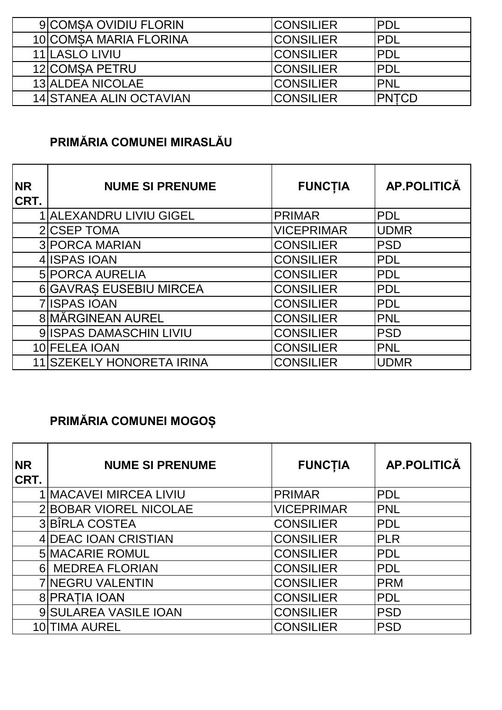| <b>9 COMSA OVIDIU FLORIN</b>   | <b>CONSILIER</b>  | IPDL          |
|--------------------------------|-------------------|---------------|
| 10 COMSA MARIA FLORINA         | <b>CONSILIER</b>  | IPDL          |
| 11 LASLO LIVIU                 | <b>ICONSILIER</b> | IPDL          |
| 12 COMSA PETRU                 | <b>ICONSILIER</b> | <b>PDL</b>    |
| <b>13 ALDEA NICOLAE</b>        | <b>CONSILIER</b>  | <b>PNL</b>    |
| <b>14 STANEA ALIN OCTAVIAN</b> | <b>CONSILIER</b>  | <b>IPNTCD</b> |

### **PRIMĂRIA COMUNEI MIRASLĂU**

| <b>NR</b><br><b>CRT.</b> | <b>NUME SI PRENUME</b>       | <b>FUNCTIA</b>    | <b>AP.POLITICĂ</b> |
|--------------------------|------------------------------|-------------------|--------------------|
|                          | <b>ALEXANDRU LIVIU GIGEL</b> | <b>PRIMAR</b>     | <b>PDL</b>         |
|                          | 2 CSEP TOMA                  | <b>VICEPRIMAR</b> | <b>UDMR</b>        |
|                          | <b>3 PORCA MARIAN</b>        | <b>CONSILIER</b>  | <b>PSD</b>         |
|                          | 4 ISPAS IOAN                 | <b>CONSILIER</b>  | <b>PDL</b>         |
|                          | <b>5 PORCA AURELIA</b>       | <b>CONSILIER</b>  | <b>PDL</b>         |
|                          | 6 GAVRAS EUSEBIU MIRCEA      | <b>CONSILIER</b>  | <b>PDL</b>         |
|                          | 7 ISPAS IOAN                 | <b>CONSILIER</b>  | <b>PDL</b>         |
|                          | 8 MÄRGINEAN AUREL            | <b>CONSILIER</b>  | <b>PNL</b>         |
|                          | 9 ISPAS DAMASCHIN LIVIU      | <b>CONSILIER</b>  | PSD                |
|                          | 10 FELEA IOAN                | <b>CONSILIER</b>  | <b>PNL</b>         |
|                          | 11 SZEKELY HONORETA IRINA    | <b>CONSILIER</b>  | <b>UDMR</b>        |

# **PRIMĂRIA COMUNEI MOGOȘ**

| <b>NR</b><br>CRT. | <b>NUME SI PRENUME</b> | <b>FUNCTIA</b>    | <b>AP.POLITICĂ</b> |
|-------------------|------------------------|-------------------|--------------------|
|                   | 1 MACAVEI MIRCEA LIVIU | <b>PRIMAR</b>     | <b>IPDL</b>        |
|                   | 2 BOBAR VIOREL NICOLAE | <b>VICEPRIMAR</b> | <b>PNL</b>         |
|                   | 3BÎRLA COSTEA          | <b>CONSILIER</b>  | <b>PDL</b>         |
|                   | 4 DEAC IOAN CRISTIAN   | <b>CONSILIER</b>  | <b>PLR</b>         |
|                   | <b>5 MACARIE ROMUL</b> | <b>CONSILIER</b>  | <b>IPDL</b>        |
| 6I                | <b>MEDREA FLORIAN</b>  | <b>CONSILIER</b>  | <b>PDL</b>         |
|                   | 7 NEGRU VALENTIN       | <b>CONSILIER</b>  | <b>PRM</b>         |
|                   | 8 PRATIA IOAN          | <b>CONSILIER</b>  | <b>PDL</b>         |
|                   | 9 SULAREA VASILE IOAN  | <b>CONSILIER</b>  | <b>PSD</b>         |
|                   | 10 TIMA AUREL          | <b>CONSILIER</b>  | <b>PSD</b>         |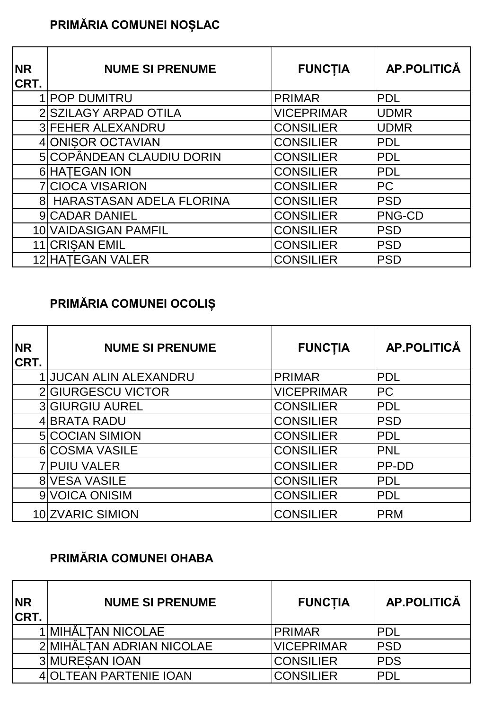## **PRIMĂRIA COMUNEI NOȘLAC**

| <b>NR</b><br>CRT. | <b>NUME SI PRENUME</b>     | <b>FUNCTIA</b>    | AP.POLITICĂ |
|-------------------|----------------------------|-------------------|-------------|
|                   | <b>1 POP DUMITRU</b>       | <b>PRIMAR</b>     | <b>PDL</b>  |
|                   | 2 SZILAGY ARPAD OTILA      | <b>VICEPRIMAR</b> | <b>UDMR</b> |
|                   | <b>3 FEHER ALEXANDRU</b>   | <b>CONSILIER</b>  | <b>UDMR</b> |
|                   | 4 ONISOR OCTAVIAN          | <b>CONSILIER</b>  | <b>PDL</b>  |
|                   | 5 COPÂNDEAN CLAUDIU DORIN  | <b>CONSILIER</b>  | <b>PDL</b>  |
|                   | 6 HATEGAN ION              | <b>CONSILIER</b>  | <b>PDL</b>  |
|                   | 7 CIOCA VISARION           | <b>CONSILIER</b>  | <b>PC</b>   |
|                   | 8 HARASTASAN ADELA FLORINA | <b>CONSILIER</b>  | <b>PSD</b>  |
|                   | 9 CADAR DANIEL             | <b>CONSILIER</b>  | PNG-CD      |
|                   | 10 VAIDASIGAN PAMFIL       | <b>CONSILIER</b>  | <b>PSD</b>  |
|                   | 11 CRISAN EMIL             | <b>CONSILIER</b>  | <b>PSD</b>  |
|                   | 12 HATEGAN VALER           | <b>CONSILIER</b>  | <b>PSD</b>  |

## **PRIMĂRIA COMUNEI OCOLIȘ**

| <b>NR</b><br>CRT. | <b>NUME SI PRENUME</b>      | <b>FUNCTIA</b>    | <b>AP.POLITICĂ</b> |
|-------------------|-----------------------------|-------------------|--------------------|
|                   | <b>JUCAN ALIN ALEXANDRU</b> | <b>PRIMAR</b>     | <b>PDL</b>         |
|                   | 2 GIURGESCU VICTOR          | <b>VICEPRIMAR</b> | <b>PC</b>          |
|                   | <b>3 GIURGIU AUREL</b>      | <b>CONSILIER</b>  | PDL                |
|                   | 4 BRATA RADU                | <b>CONSILIER</b>  | <b>PSD</b>         |
|                   | <b>5 COCIAN SIMION</b>      | <b>CONSILIER</b>  | <b>PDL</b>         |
|                   | 6 COSMA VASILE              | <b>CONSILIER</b>  | <b>PNL</b>         |
|                   | <b>7 PUIU VALER</b>         | <b>CONSILIER</b>  | PP-DD              |
|                   | 8 VESA VASILE               | <b>CONSILIER</b>  | <b>PDL</b>         |
|                   | 9 VOICA ONISIM              | <b>CONSILIER</b>  | <b>PDL</b>         |
|                   | 10 ZVARIC SIMION            | <b>CONSILIER</b>  | <b>PRM</b>         |

### **PRIMĂRIA COMUNEI OHABA**

| <b>NR</b><br><b>CRT.</b> | <b>NUME SI PRENUME</b>    | <b>FUNCTIA</b>    | AP.POLITICĂ |
|--------------------------|---------------------------|-------------------|-------------|
|                          | 1 MIHĂLTAN NICOLAE        | <b>PRIMAR</b>     | <b>PDL</b>  |
|                          | 2 MIHĂLTAN ADRIAN NICOLAE | <b>VICEPRIMAR</b> | <b>PSD</b>  |
|                          | <b>3 MURESAN IOAN</b>     | <b>CONSILIER</b>  | <b>PDS</b>  |
|                          | 4 OLTEAN PARTENIE IOAN    | <b>CONSILIER</b>  | <b>PDL</b>  |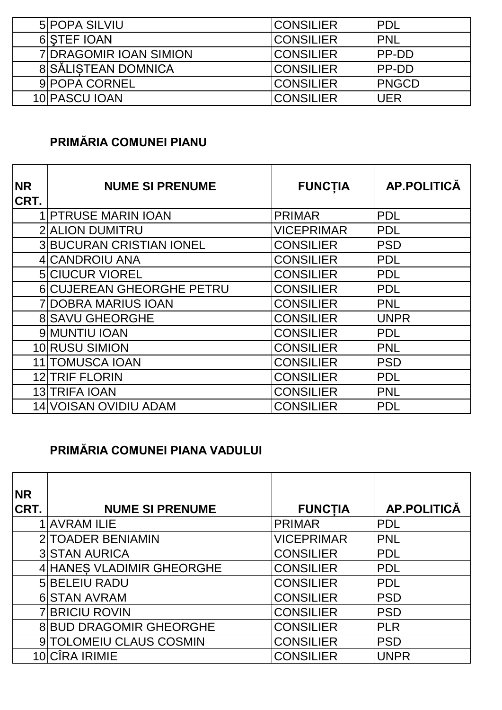| 5 POPA SILVIU                 | <b>CONSILIER</b> | IPDL          |
|-------------------------------|------------------|---------------|
| 6 STEF IOAN                   | <b>CONSILIER</b> | <b>IPNL</b>   |
| <b>7IDRAGOMIR IOAN SIMION</b> | <b>CONSILIER</b> | <b>IPP-DD</b> |
| 8 SĂLISTEAN DOMNICA           | <b>CONSILIER</b> | <b>IPP-DD</b> |
| 9 POPA CORNEL                 | <b>CONSILIER</b> | <b>IPNGCD</b> |
| 10 PASCU JOAN                 | <b>CONSILIER</b> | <b>UER</b>    |

#### **PRIMĂRIA COMUNEI PIANU**

| <b>NR</b><br>CRT. | <b>NUME SI PRENUME</b>           | <b>FUNCTIA</b>    | <b>AP.POLITICĂ</b> |
|-------------------|----------------------------------|-------------------|--------------------|
|                   | <b>1 PTRUSE MARIN IOAN</b>       | <b>PRIMAR</b>     | <b>PDL</b>         |
|                   | <b>2 ALION DUMITRU</b>           | <b>VICEPRIMAR</b> | <b>PDL</b>         |
|                   | <b>3 BUCURAN CRISTIAN IONEL</b>  | <b>CONSILIER</b>  | <b>PSD</b>         |
|                   | 4 CANDROIU ANA                   | <b>CONSILIER</b>  | <b>PDL</b>         |
|                   | <b>5 CIUCUR VIOREL</b>           | <b>CONSILIER</b>  | <b>PDL</b>         |
|                   | <b>6 CUJEREAN GHEORGHE PETRU</b> | <b>CONSILIER</b>  | <b>PDL</b>         |
|                   | <b>7 DOBRA MARIUS IOAN</b>       | <b>CONSILIER</b>  | <b>PNL</b>         |
|                   | <b>8 SAVU GHEORGHE</b>           | <b>CONSILIER</b>  | <b>UNPR</b>        |
|                   | 9 MUNTIU IOAN                    | <b>CONSILIER</b>  | <b>PDL</b>         |
|                   | 10 RUSU SIMION                   | <b>CONSILIER</b>  | <b>PNL</b>         |
|                   | <b>11 TOMUSCA IOAN</b>           | <b>CONSILIER</b>  | <b>PSD</b>         |
|                   | <b>12 TRIF FLORIN</b>            | <b>CONSILIER</b>  | <b>PDL</b>         |
|                   | 13 TRIFA IOAN                    | <b>CONSILIER</b>  | <b>PNL</b>         |
|                   | 14 VOISAN OVIDIU ADAM            | <b>CONSILIER</b>  | <b>PDL</b>         |

### **PRIMĂRIA COMUNEI PIANA VADULUI**

| <b>NR</b> |                                |                   |                    |
|-----------|--------------------------------|-------------------|--------------------|
| CRT.      | <b>NUME SI PRENUME</b>         | <b>FUNCTIA</b>    | <b>AP.POLITICĂ</b> |
|           | <b>AVRAM ILIE</b>              | <b>PRIMAR</b>     | <b>IPDL</b>        |
|           | 2 TOADER BENIAMIN              | <b>VICEPRIMAR</b> | <b>PNL</b>         |
|           | <b>3 STAN AURICA</b>           | <b>CONSILIER</b>  | <b>PDL</b>         |
|           | 4 HANES VLADIMIR GHEORGHE      | <b>CONSILIER</b>  | PDL                |
|           | 5 BELEIU RADU                  | <b>CONSILIER</b>  | <b>IPDL</b>        |
|           | <b>6 STAN AVRAM</b>            | <b>CONSILIER</b>  | <b>PSD</b>         |
|           | <b>7 BRICIU ROVIN</b>          | <b>CONSILIER</b>  | <b>PSD</b>         |
|           | <b>8 BUD DRAGOMIR GHEORGHE</b> | <b>CONSILIER</b>  | <b>PLR</b>         |
|           | 9 TOLOMEIU CLAUS COSMIN        | <b>CONSILIER</b>  | <b>PSD</b>         |
|           | <b>CÎRA IRIMIE</b>             | <b>CONSILIER</b>  | <b>UNPR</b>        |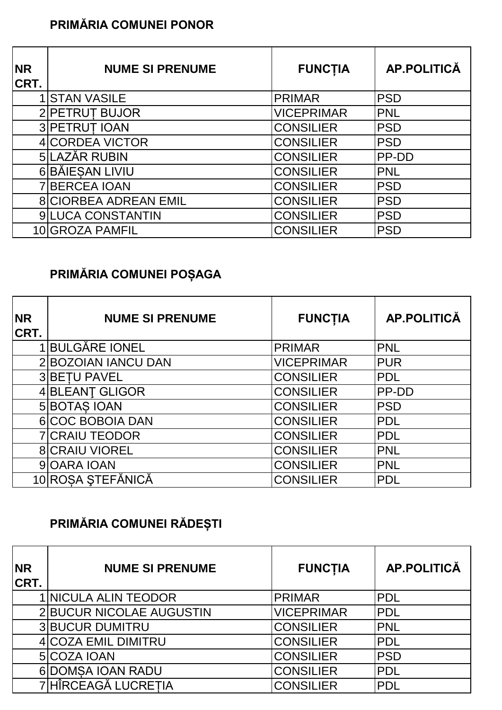### **PRIMĂRIA COMUNEI PONOR**

| <b>NR</b><br>CRT. | <b>NUME SI PRENUME</b>       | <b>FUNCTIA</b>    | <b>AP.POLITICĂ</b> |
|-------------------|------------------------------|-------------------|--------------------|
|                   | 1 STAN VASILE                | <b>PRIMAR</b>     | <b>PSD</b>         |
|                   | 2 PETRUT BUJOR               | <b>VICEPRIMAR</b> | <b>PNL</b>         |
|                   | 3 PETRUT IOAN                | <b>CONSILIER</b>  | <b>PSD</b>         |
|                   | 4 CORDEA VICTOR              | <b>CONSILIER</b>  | <b>PSD</b>         |
|                   | 5LAZĂR RUBIN                 | <b>CONSILIER</b>  | PP-DD              |
|                   | 6 BĂIESAN LIVIU              | <b>CONSILIER</b>  | PNL                |
|                   | <b>7 BERCEA IOAN</b>         | <b>CONSILIER</b>  | <b>PSD</b>         |
|                   | <b>8 CIORBEA ADREAN EMIL</b> | <b>CONSILIER</b>  | <b>PSD</b>         |
|                   | 9 LUCA CONSTANTIN            | <b>CONSILIER</b>  | <b>PSD</b>         |
|                   | 10 GROZA PAMFIL              | <b>CONSILIER</b>  | <b>PSD</b>         |

## **PRIMĂRIA COMUNEI POȘAGA**

| <b>NR</b><br>CRT. | <b>NUME SI PRENUME</b> | <b>FUNCTIA</b>    | AP.POLITICĂ  |
|-------------------|------------------------|-------------------|--------------|
|                   | <b>BULGĂRE IONEL</b>   | <b>PRIMAR</b>     | <b>PNL</b>   |
|                   | 2 BOZOIAN IANCU DAN    | <b>VICEPRIMAR</b> | <b>PUR</b>   |
|                   | <b>3 BETU PAVEL</b>    | <b>CONSILIER</b>  | <b>PDL</b>   |
|                   | 4 BLEANT GLIGOR        | <b>CONSILIER</b>  | <b>PP-DD</b> |
|                   | 5 BOTAS IOAN           | <b>CONSILIER</b>  | PSD          |
|                   | 6 COC BOBOIA DAN       | <b>CONSILIER</b>  | <b>PDL</b>   |
|                   | <b>7 CRAIU TEODOR</b>  | <b>CONSILIER</b>  | <b>PDL</b>   |
|                   | <b>8 CRAIU VIOREL</b>  | <b>CONSILIER</b>  | <b>PNL</b>   |
|                   | 9 OARA IOAN            | <b>CONSILIER</b>  | <b>PNL</b>   |
|                   | 10 ROSA STEFĂNICĂ      | <b>CONSILIER</b>  | <b>PDL</b>   |

# **PRIMĂRIA COMUNEI RĂDEȘTI**

| <b>NR</b><br>CRT. | <b>NUME SI PRENUME</b>   | <b>FUNCTIA</b>    | <b>AP.POLITICĂ</b> |
|-------------------|--------------------------|-------------------|--------------------|
|                   | 1 NICULA ALIN TEODOR     | <b>PRIMAR</b>     | <b>PDL</b>         |
|                   | 2 BUCUR NICOLAE AUGUSTIN | <b>VICEPRIMAR</b> | <b>PDL</b>         |
|                   | <b>3 BUCUR DUMITRU</b>   | <b>CONSILIER</b>  | <b>PNL</b>         |
|                   | 4 COZA EMIL DIMITRU      | <b>CONSILIER</b>  | <b>PDL</b>         |
|                   | 5 COZA IOAN              | <b>CONSILIER</b>  | <b>PSD</b>         |
|                   | 6 DOMSA IOAN RADU        | <b>CONSILIER</b>  | PDL                |
|                   | 7 HÎRCEAGĂ LUCREȚIA      | <b>CONSILIER</b>  | <b>PDL</b>         |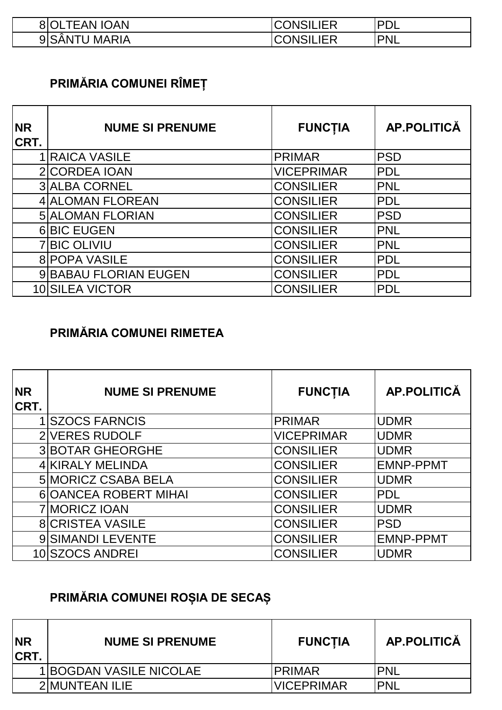| <b>TEAN IOAN</b><br>8IOL      | $\sim$ יי IFR<br>IN:<br>ISILIER     | <b>PD</b><br>◡└ |
|-------------------------------|-------------------------------------|-----------------|
| MARIA<br>91SAI<br>`N ı<br>ט ו | <b>IFR</b><br>UN⊱<br>UV.<br>יושושוט | 'PNL            |

## **PRIMĂRIA COMUNEI RÎMEȚ**

| <b>NR</b><br>CRT. | <b>NUME SI PRENUME</b>  | <b>FUNCTIA</b>    | <b>AP.POLITICĂ</b> |
|-------------------|-------------------------|-------------------|--------------------|
|                   | 1 RAICA VASILE          | <b>PRIMAR</b>     | <b>PSD</b>         |
|                   | 2 CORDEA IOAN           | <b>VICEPRIMAR</b> | <b>PDL</b>         |
|                   | <b>3 ALBA CORNEL</b>    | <b>CONSILIER</b>  | <b>PNL</b>         |
|                   | 4 ALOMAN FLOREAN        | <b>CONSILIER</b>  | <b>PDL</b>         |
|                   | <b>5 ALOMAN FLORIAN</b> | <b>CONSILIER</b>  | <b>PSD</b>         |
|                   | <b>6 BIC EUGEN</b>      | <b>CONSILIER</b>  | PNL                |
|                   | <b>7 BIC OLIVIU</b>     | <b>CONSILIER</b>  | <b>PNL</b>         |
|                   | <b>8 POPA VASILE</b>    | <b>CONSILIER</b>  | <b>PDL</b>         |
|                   | 9 BABAU FLORIAN EUGEN   | <b>CONSILIER</b>  | <b>PDL</b>         |
|                   | 10 SILEA VICTOR         | <b>CONSILIER</b>  | <b>PDL</b>         |

### **PRIMĂRIA COMUNEI RIMETEA**

| <b>NR</b><br>CRT. | <b>NUME SI PRENUME</b>  | <b>FUNCTIA</b>    | <b>AP.POLITICĂ</b> |
|-------------------|-------------------------|-------------------|--------------------|
|                   | <b>SZOCS FARNCIS</b>    | <b>PRIMAR</b>     | <b>UDMR</b>        |
|                   | 2 VERES RUDOLF          | <b>VICEPRIMAR</b> | <b>UDMR</b>        |
|                   | <b>3 BOTAR GHEORGHE</b> | <b>CONSILIER</b>  | <b>UDMR</b>        |
|                   | 4 KIRALY MELINDA        | <b>CONSILIER</b>  | <b>EMNP-PPMT</b>   |
|                   | 5 MORICZ CSABA BELA     | <b>CONSILIER</b>  | <b>UDMR</b>        |
|                   | 6 OANCEA ROBERT MIHAI   | <b>CONSILIER</b>  | PDL                |
|                   | 7 MORICZ IOAN           | <b>CONSILIER</b>  | <b>UDMR</b>        |
|                   | <b>8 CRISTEA VASILE</b> | <b>CONSILIER</b>  | <b>PSD</b>         |
|                   | 9 SIMANDI LEVENTE       | <b>CONSILIER</b>  | <b>EMNP-PPMT</b>   |
|                   | 10 SZOCS ANDREI         | <b>CONSILIER</b>  | <b>UDMR</b>        |

# **PRIMĂRIA COMUNEI ROȘIA DE SECAȘ**

| <b>INR</b><br>ICRT. | <b>NUME SI PRENUME</b>  | <b>FUNCTIA</b>    | <b>AP.POLITICA</b> |
|---------------------|-------------------------|-------------------|--------------------|
|                     | 1 BOGDAN VASILE NICOLAE | IPRIMAR           | PNL                |
|                     | 2 MUNTEAN ILIE          | <b>VICEPRIMAR</b> | 'PNL               |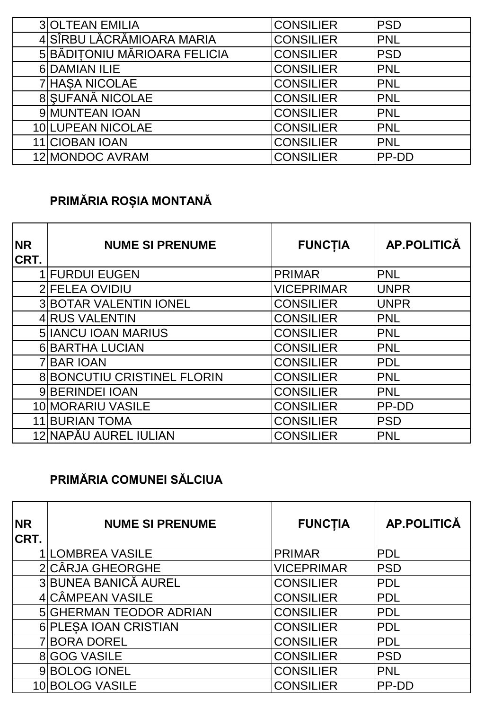| <b>3 OLTEAN EMILIA</b>       | <b>CONSILIER</b> | <b>PSD</b>   |
|------------------------------|------------------|--------------|
| 4 SÎRBU LĂCRĂMIOARA MARIA    | <b>CONSILIER</b> | <b>PNL</b>   |
| 5 BĂDITONIU MĂRIOARA FELICIA | <b>CONSILIER</b> | <b>IPSD</b>  |
| 6 DAMIAN ILIE                | <b>CONSILIER</b> | <b>PNL</b>   |
| <b>7 HASA NICOLAE</b>        | <b>CONSILIER</b> | <b>PNL</b>   |
| 8 SUFANĂ NICOLAE             | <b>CONSILIER</b> | <b>PNL</b>   |
| 9 MUNTEAN IOAN               | <b>CONSILIER</b> | <b>PNL</b>   |
| 10 LUPEAN NICOLAE            | <b>CONSILIER</b> | <b>PNL</b>   |
| 11 CIOBAN IOAN               | <b>CONSILIER</b> | <b>PNL</b>   |
| 12 MONDOC AVRAM              | <b>CONSILIER</b> | <b>PP-DD</b> |

# **PRIMĂRIA ROȘIA MONTANĂ**

| <b>NR</b><br>CRT. | <b>NUME SI PRENUME</b>             | <b>FUNCTIA</b>    | <b>AP.POLITICĂ</b> |
|-------------------|------------------------------------|-------------------|--------------------|
|                   | <b>1 FURDUI EUGEN</b>              | <b>PRIMAR</b>     | <b>PNL</b>         |
|                   | 2 FELEA OVIDIU                     | <b>VICEPRIMAR</b> | <b>UNPR</b>        |
|                   | <b>3 BOTAR VALENTIN IONEL</b>      | <b>CONSILIER</b>  | <b>UNPR</b>        |
|                   | 4 RUS VALENTIN                     | <b>CONSILIER</b>  | <b>PNL</b>         |
|                   | <b>5 IANCU IOAN MARIUS</b>         | <b>CONSILIER</b>  | <b>PNL</b>         |
|                   | <b>6 BARTHA LUCIAN</b>             | <b>CONSILIER</b>  | <b>PNL</b>         |
|                   | <b>7 BAR IOAN</b>                  | <b>CONSILIER</b>  | <b>PDL</b>         |
|                   | <b>8 BONCUTIU CRISTINEL FLORIN</b> | <b>CONSILIER</b>  | <b>PNL</b>         |
|                   | 9 BERINDEI IOAN                    | <b>CONSILIER</b>  | <b>PNL</b>         |
|                   | 10 MORARIU VASILE                  | <b>CONSILIER</b>  | PP-DD              |
|                   | <b>11 BURIAN TOMA</b>              | <b>CONSILIER</b>  | <b>PSD</b>         |
|                   | 12 NAPĂU AUREL IULIAN              | <b>CONSILIER</b>  | <b>PNL</b>         |

## **PRIMĂRIA COMUNEI SĂLCIUA**

| <b>NR</b><br><b>CRT.</b> | <b>NUME SI PRENUME</b>  | <b>FUNCTIA</b>    | <b>AP.POLITICĂ</b> |
|--------------------------|-------------------------|-------------------|--------------------|
|                          | <b>LOMBREA VASILE</b>   | <b>PRIMAR</b>     | <b>PDL</b>         |
|                          | 2 CÂRJA GHEORGHE        | <b>VICEPRIMAR</b> | <b>PSD</b>         |
|                          | 3 BUNEA BANICĂ AUREL    | <b>CONSILIER</b>  | <b>PDL</b>         |
|                          | 4 CÂMPEAN VASILE        | <b>CONSILIER</b>  | <b>PDL</b>         |
|                          | 5 GHERMAN TEODOR ADRIAN | <b>CONSILIER</b>  | <b>PDL</b>         |
|                          | 6 PLESA IOAN CRISTIAN   | <b>CONSILIER</b>  | <b>PDL</b>         |
|                          | 7 BORA DOREL            | <b>CONSILIER</b>  | <b>PDL</b>         |
|                          | <b>8</b> GOG VASILE     | <b>CONSILIER</b>  | <b>PSD</b>         |
|                          | 9BOLOG IONEL            | <b>CONSILIER</b>  | <b>PNL</b>         |
|                          | 10 BOLOG VASILE         | <b>CONSILIER</b>  | PP-DD              |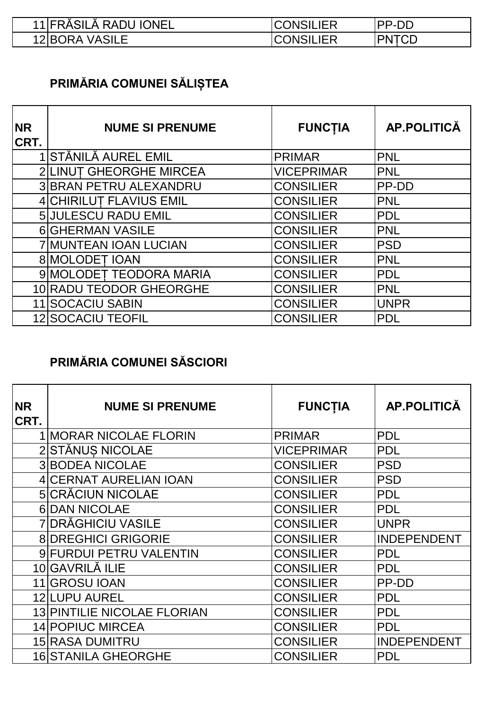| 11 FRĂSILĂ RADU IONEL | <b>CONSILIER</b> | <b>IPP-DD</b> |
|-----------------------|------------------|---------------|
| 12 BORA VASILE        | <b>CONSILIER</b> | <b>PNTCD</b>  |

# **PRIMĂRIA COMUNEI SĂLIȘTEA**

| <b>NR</b><br><b>CRT.</b> | <b>NUME SI PRENUME</b>     | <b>FUNCTIA</b>    | AP.POLITICĂ |
|--------------------------|----------------------------|-------------------|-------------|
|                          | 1 STĂNILĂ AUREL EMIL       | <b>PRIMAR</b>     | PNL         |
|                          | 2 LINUT GHEORGHE MIRCEA    | <b>VICEPRIMAR</b> | <b>PNL</b>  |
|                          | 3 BRAN PETRU ALEXANDRU     | <b>CONSILIER</b>  | PP-DD       |
|                          | 4 CHIRILUT FLAVIUS EMIL    | <b>CONSILIER</b>  | <b>PNL</b>  |
|                          | <b>5 JULESCU RADU EMIL</b> | <b>CONSILIER</b>  | PDL         |
|                          | <b>6 GHERMAN VASILE</b>    | <b>CONSILIER</b>  | <b>PNL</b>  |
|                          | 7 MUNTEAN IOAN LUCIAN      | <b>CONSILIER</b>  | <b>PSD</b>  |
|                          | 8 MOLODET IOAN             | <b>CONSILIER</b>  | <b>PNL</b>  |
|                          | 9 MOLODET TEODORA MARIA    | <b>CONSILIER</b>  | <b>PDL</b>  |
|                          | 10 RADU TEODOR GHEORGHE    | <b>CONSILIER</b>  | <b>PNL</b>  |
|                          | 11 SOCACIU SABIN           | <b>CONSILIER</b>  | <b>UNPR</b> |
|                          | <b>12 SOCACIU TEOFIL</b>   | <b>CONSILIER</b>  | <b>PDL</b>  |

### **PRIMĂRIA COMUNEI SĂSCIORI**

| <b>NR</b><br>CRT. | <b>NUME SI PRENUME</b>             | <b>FUNCTIA</b>    | <b>AP.POLITICĂ</b> |
|-------------------|------------------------------------|-------------------|--------------------|
|                   | 1 MORAR NICOLAE FLORIN             | <b>PRIMAR</b>     | <b>PDL</b>         |
|                   | 2 STĂNUS NICOLAE                   | <b>VICEPRIMAR</b> | <b>PDL</b>         |
|                   | <b>3 BODEA NICOLAE</b>             | <b>CONSILIER</b>  | <b>PSD</b>         |
|                   | 4 CERNAT AURELIAN IOAN             | <b>CONSILIER</b>  | <b>PSD</b>         |
|                   | <b>5 CRĂCIUN NICOLAE</b>           | <b>CONSILIER</b>  | <b>PDL</b>         |
|                   | <b>6DAN NICOLAE</b>                | CONSILIER         | <b>PDL</b>         |
|                   | 7 DRĂGHICIU VASILE                 | <b>CONSILIER</b>  | <b>UNPR</b>        |
|                   | <b>8 DREGHICI GRIGORIE</b>         | <b>CONSILIER</b>  | <b>INDEPENDENT</b> |
|                   | 9 FURDUI PETRU VALENTIN            | <b>CONSILIER</b>  | <b>PDL</b>         |
|                   | 10 GAVRILĂ ILIE                    | <b>CONSILIER</b>  | <b>PDL</b>         |
|                   | 11 GROSU IOAN                      | <b>CONSILIER</b>  | PP-DD              |
|                   | 12 LUPU AUREL                      | CONSILIER         | <b>PDL</b>         |
|                   | <b>13 PINTILIE NICOLAE FLORIAN</b> | <b>CONSILIER</b>  | <b>PDL</b>         |
|                   | 14 POPIUC MIRCEA                   | CONSILIER         | <b>PDL</b>         |
|                   | <b>15 RASA DUMITRU</b>             | CONSILIER         | <b>INDEPENDENT</b> |
|                   | 16 STANILA GHEORGHE                | CONSILIER         | <b>PDL</b>         |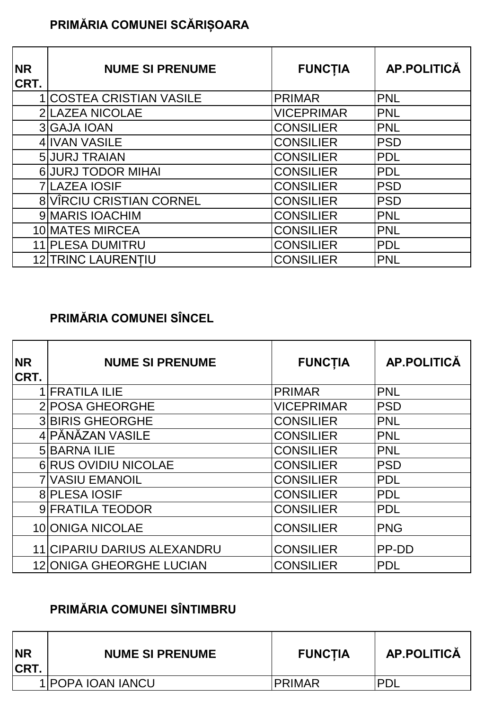## **PRIMĂRIA COMUNEI SCĂRIȘOARA**

| <b>NR</b><br>CRT. | <b>NUME SI PRENUME</b>          | <b>FUNCTIA</b>    | AP.POLITICĂ |
|-------------------|---------------------------------|-------------------|-------------|
|                   | <b>1 COSTEA CRISTIAN VASILE</b> | <b>PRIMAR</b>     | <b>PNL</b>  |
|                   | <b>2 LAZEA NICOLAE</b>          | <b>VICEPRIMAR</b> | <b>PNL</b>  |
|                   | 3 GAJA IOAN                     | <b>CONSILIER</b>  | <b>PNL</b>  |
|                   | 4 IVAN VASILE                   | <b>CONSILIER</b>  | <b>PSD</b>  |
|                   | 5 JURJ TRAIAN                   | <b>CONSILIER</b>  | <b>PDL</b>  |
|                   | <b>6 JURJ TODOR MIHAI</b>       | <b>CONSILIER</b>  | <b>PDL</b>  |
|                   | <b>7 LAZEA IOSIF</b>            | <b>CONSILIER</b>  | <b>PSD</b>  |
|                   | <b>8 VIRCIU CRISTIAN CORNEL</b> | <b>CONSILIER</b>  | <b>PSD</b>  |
|                   | 9 MARIS IOACHIM                 | <b>CONSILIER</b>  | <b>PNL</b>  |
|                   | 10 MATES MIRCEA                 | <b>CONSILIER</b>  | <b>PNL</b>  |
|                   | 11 PLESA DUMITRU                | <b>CONSILIER</b>  | <b>PDL</b>  |
|                   | 12 TRINC LAURENTIU              | <b>CONSILIER</b>  | <b>PNL</b>  |

### **PRIMĂRIA COMUNEI SÎNCEL**

| <b>NR</b><br>CRT. | <b>NUME SI PRENUME</b>          | <b>FUNCTIA</b>    | AP.POLITICĂ |
|-------------------|---------------------------------|-------------------|-------------|
|                   | <b>IFRATILA ILIE</b>            | <b>PRIMAR</b>     | <b>PNL</b>  |
|                   | 2 POSA GHEORGHE                 | <b>VICEPRIMAR</b> | <b>PSD</b>  |
|                   | <b>3 BIRIS GHEORGHE</b>         | <b>CONSILIER</b>  | PNL         |
|                   | 4 PĂNĂZAN VASILE                | <b>CONSILIER</b>  | PNL         |
|                   | <b>5 BARNA ILIE</b>             | <b>CONSILIER</b>  | <b>PNL</b>  |
|                   | <b>6 RUS OVIDIU NICOLAE</b>     | <b>CONSILIER</b>  | <b>PSD</b>  |
|                   | <b>7 VASIU EMANOIL</b>          | <b>CONSILIER</b>  | <b>PDL</b>  |
|                   | <b>8 PLESA IOSIF</b>            | <b>CONSILIER</b>  | PDL         |
|                   | 9 FRATILA TEODOR                | <b>CONSILIER</b>  | <b>PDL</b>  |
|                   | 10 ONIGA NICOLAE                | <b>CONSILIER</b>  | <b>PNG</b>  |
|                   | 11 CIPARIU DARIUS ALEXANDRU     | <b>CONSILIER</b>  | PP-DD       |
|                   | <b>12 ONIGA GHEORGHE LUCIAN</b> | <b>CONSILIER</b>  | <b>PDL</b>  |

### **PRIMĂRIA COMUNEI SÎNTIMBRU**

| <b>NR</b><br><b>CRT.</b> | <b>NUME SI PRENUME</b> | <b>FUNCTIA</b> | <b>AP.POLITICA</b> |
|--------------------------|------------------------|----------------|--------------------|
|                          | 1 POPA IOAN IANCU      | IPRIMAR        | <b>PNI</b>         |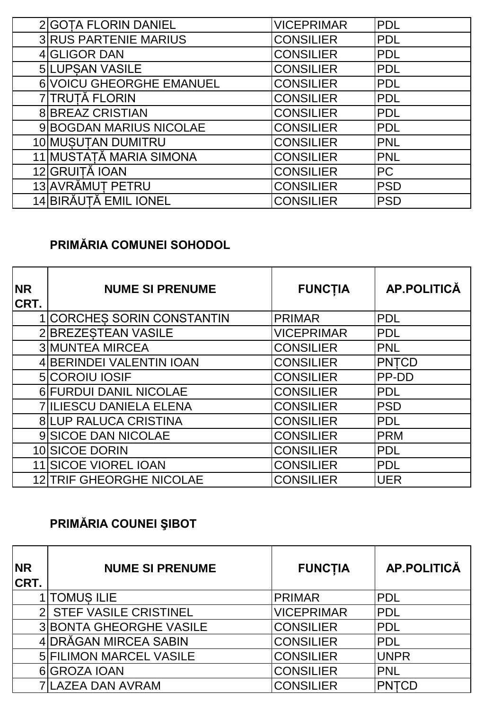| 2 GOTA FLORIN DANIEL         | <b>VICEPRIMAR</b> | <b>PDL</b> |
|------------------------------|-------------------|------------|
| <b>3 RUS PARTENIE MARIUS</b> | <b>CONSILIER</b>  | <b>PDL</b> |
| 4 GLIGOR DAN                 | <b>CONSILIER</b>  | <b>PDL</b> |
| 5 LUPSAN VASILE              | <b>CONSILIER</b>  | <b>PDL</b> |
| 6 VOICU GHEORGHE EMANUEL     | <b>CONSILIER</b>  | <b>PDL</b> |
| 7 TRUTĂ FLORIN               | <b>CONSILIER</b>  | <b>PDL</b> |
| <b>8 BREAZ CRISTIAN</b>      | <b>CONSILIER</b>  | <b>PDL</b> |
| 9 BOGDAN MARIUS NICOLAE      | <b>CONSILIER</b>  | <b>PDL</b> |
| 10 MUSUTAN DUMITRU           | <b>CONSILIER</b>  | <b>PNL</b> |
| 11 MUSTAȚĂ MARIA SIMONA      | <b>CONSILIER</b>  | <b>PNL</b> |
| 12 GRUITĂ IOAN               | <b>CONSILIER</b>  | <b>PC</b>  |
| 13 AVRÄMUT PETRU             | <b>CONSILIER</b>  | <b>PSD</b> |
| 14 BIRĂUTĂ EMIL IONEL        | <b>CONSILIER</b>  | <b>PSD</b> |

### **PRIMĂRIA COMUNEI SOHODOL**

| <b>NR</b><br>CRT. | <b>NUME SI PRENUME</b>            | <b>FUNCTIA</b>    | <b>AP.POLITICĂ</b> |
|-------------------|-----------------------------------|-------------------|--------------------|
|                   | <b>1 CORCHES SORIN CONSTANTIN</b> | <b>PRIMAR</b>     | <b>PDL</b>         |
|                   | 2 BREZESTEAN VASILE               | <b>VICEPRIMAR</b> | <b>PDL</b>         |
|                   | <b>3 MUNTEA MIRCEA</b>            | <b>CONSILIER</b>  | <b>PNL</b>         |
|                   | 4 BERINDEI VALENTIN IOAN          | <b>CONSILIER</b>  | <b>PNTCD</b>       |
|                   | <b>5</b> COROIU IOSIF             | <b>CONSILIER</b>  | PP-DD              |
|                   | 6 FURDUI DANIL NICOLAE            | <b>CONSILIER</b>  | PDL                |
|                   | <b>7 ILIESCU DANIELA ELENA</b>    | <b>CONSILIER</b>  | <b>PSD</b>         |
|                   | <b>8 LUP RALUCA CRISTINA</b>      | <b>CONSILIER</b>  | <b>PDL</b>         |
|                   | 9 SICOE DAN NICOLAE               | <b>CONSILIER</b>  | <b>PRM</b>         |
|                   | 10 SICOE DORIN                    | <b>CONSILIER</b>  | <b>PDL</b>         |
|                   | 11 SICOE VIOREL IOAN              | <b>CONSILIER</b>  | <b>PDL</b>         |
|                   | <b>12 TRIF GHEORGHE NICOLAE</b>   | <b>CONSILIER</b>  | <b>UER</b>         |

### **PRIMĂRIA COUNEI ŞIBOT**

| <b>INR</b><br>CRT. | <b>NUME SI PRENUME</b>         | <b>FUNCTIA</b>    | AP.POLITICĂ  |
|--------------------|--------------------------------|-------------------|--------------|
|                    | 1 TOMUS ILIE                   | <b>PRIMAR</b>     | <b>PDL</b>   |
|                    | <b>STEF VASILE CRISTINEL</b>   | <b>VICEPRIMAR</b> | <b>PDL</b>   |
|                    | <b>3 BONTA GHEORGHE VASILE</b> | <b>CONSILIER</b>  | <b>PDL</b>   |
|                    | 4 DRĂGAN MIRCEA SABIN          | <b>CONSILIER</b>  | <b>PDL</b>   |
|                    | <b>5 FILIMON MARCEL VASILE</b> | <b>CONSILIER</b>  | <b>UNPR</b>  |
|                    | 6 GROZA IOAN                   | <b>CONSILIER</b>  | <b>PNL</b>   |
|                    | 7 LAZEA DAN AVRAM              | <b>CONSILIER</b>  | <b>PNTCD</b> |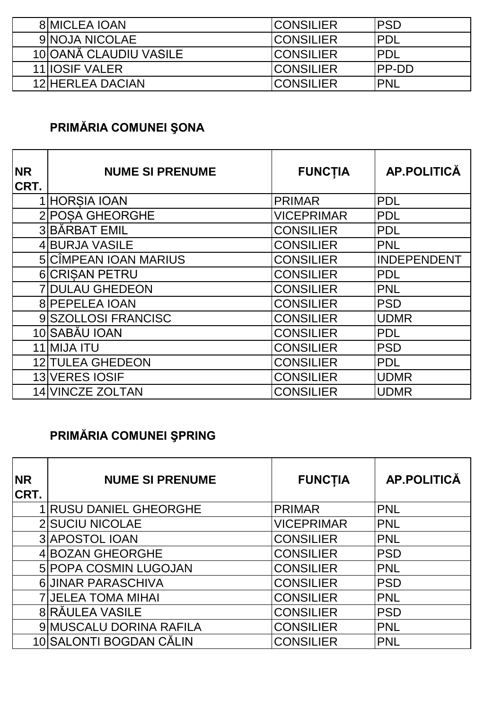| <b>8IMICLEA IOAN</b>   | <b>ICONSILIER</b> | IPSD          |
|------------------------|-------------------|---------------|
| 9 NOJA NICOLAE         | <b>ICONSILIER</b> | <b>IPDL</b>   |
| 10 OANĂ CLAUDIU VASILE | <b>ICONSILIER</b> | <b>IPDL</b>   |
| <b>11 IIOSIF VALER</b> | <b>CONSILIER</b>  | <b>IPP-DD</b> |
| 12 HERLEA DACIAN       | <b>ICONSILIER</b> | <b>IPNL</b>   |

### **PRIMĂRIA COMUNEI ŞONA**

| <b>NR</b><br>CRT. | <b>NUME SI PRENUME</b>  | <b>FUNCTIA</b>    | <b>AP.POLITICĂ</b> |
|-------------------|-------------------------|-------------------|--------------------|
|                   | 1 HORSIA IOAN           | <b>PRIMAR</b>     | <b>PDL</b>         |
|                   | 2 POSA GHEORGHE         | <b>VICEPRIMAR</b> | <b>PDL</b>         |
|                   | 3 BÅRBAT EMIL           | <b>CONSILIER</b>  | <b>PDL</b>         |
|                   | 4 BURJA VASILE          | <b>CONSILIER</b>  | <b>PNL</b>         |
|                   | 5 CÎMPEAN IOAN MARIUS   | <b>CONSILIER</b>  | INDEPENDENT        |
|                   | <b>6 CRISAN PETRU</b>   | <b>CONSILIER</b>  | <b>PDL</b>         |
|                   | <b>7 DULAU GHEDEON</b>  | <b>CONSILIER</b>  | <b>PNL</b>         |
|                   | <b>8 PEPELEA IOAN</b>   | <b>CONSILIER</b>  | <b>PSD</b>         |
|                   | 9 SZOLLOSI FRANCISC     | <b>CONSILIER</b>  | <b>UDMR</b>        |
|                   | 10 SABĂU IOAN           | <b>CONSILIER</b>  | <b>PDL</b>         |
| 11                | <b>MIJA ITU</b>         | <b>CONSILIER</b>  | <b>PSD</b>         |
|                   | <b>12 TULEA GHEDEON</b> | <b>CONSILIER</b>  | <b>PDL</b>         |
|                   | 13 VERES IOSIF          | <b>CONSILIER</b>  | <b>UDMR</b>        |
|                   | <b>14 VINCZE ZOLTAN</b> | <b>CONSILIER</b>  | <b>UDMR</b>        |

### **PRIMĂRIA COMUNEI ŞPRING**

| <b>NR</b><br>CRT. | <b>NUME SI PRENUME</b>       | <b>FUNCTIA</b>    | <b>AP.POLITICĂ</b> |
|-------------------|------------------------------|-------------------|--------------------|
|                   | <b>RUSU DANIEL GHEORGHE</b>  | <b>PRIMAR</b>     | <b>PNL</b>         |
|                   | 2 SUCIU NICOLAE              | <b>VICEPRIMAR</b> | <b>PNL</b>         |
|                   | <b>3 APOSTOL IOAN</b>        | <b>CONSILIER</b>  | <b>PNL</b>         |
|                   | 4 BOZAN GHEORGHE             | <b>CONSILIER</b>  | <b>PSD</b>         |
|                   | <b>5 POPA COSMIN LUGOJAN</b> | <b>CONSILIER</b>  | <b>PNL</b>         |
|                   | 6 JINAR PARASCHIVA           | <b>CONSILIER</b>  | <b>PSD</b>         |
|                   | <b>7 JELEA TOMA MIHAI</b>    | <b>CONSILIER</b>  | <b>PNL</b>         |
|                   | 8 RĂULEA VASILE              | <b>CONSILIER</b>  | PSD                |
|                   | 9 MUSCALU DORINA RAFILA      | <b>CONSILIER</b>  | <b>PNL</b>         |
|                   | 10 SALONTI BOGDAN CĂLIN      | <b>CONSILIER</b>  | <b>PNL</b>         |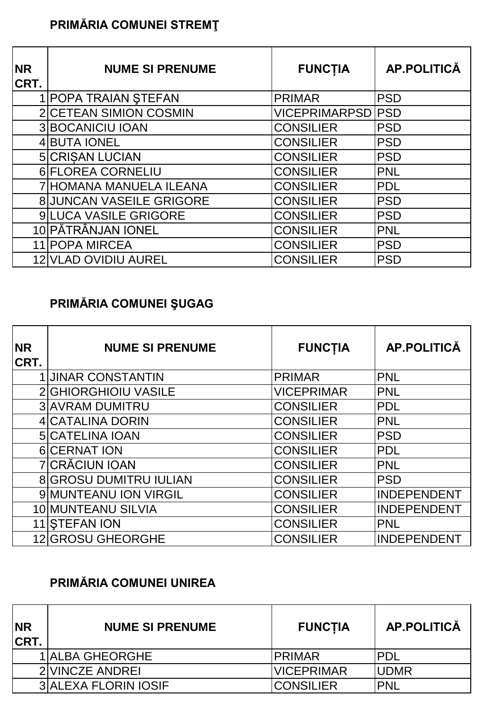### **PRIMĂRIA COMUNEI STREMŢ**

| <b>NR</b><br>CRT. | <b>NUME SI PRENUME</b>          | <b>FUNCTIA</b>           | <b>AP.POLITICĂ</b> |
|-------------------|---------------------------------|--------------------------|--------------------|
|                   | 1 POPA TRAIAN STEFAN            | <b>PRIMAR</b>            | <b>PSD</b>         |
|                   | 2 CETEAN SIMION COSMIN          | <b>VICEPRIMARPSD PSD</b> |                    |
|                   | <b>3 BOCANICIU IOAN</b>         | <b>CONSILIER</b>         | <b>PSD</b>         |
|                   | 4 BUTA IONEL                    | <b>CONSILIER</b>         | <b>PSD</b>         |
|                   | <b>5 CRISAN LUCIAN</b>          | <b>CONSILIER</b>         | <b>PSD</b>         |
|                   | 6 FLOREA CORNELIU               | <b>CONSILIER</b>         | <b>PNL</b>         |
|                   | 7 HOMANA MANUELA ILEANA         | <b>CONSILIER</b>         | <b>PDL</b>         |
|                   | <b>8 JUNCAN VASEILE GRIGORE</b> | <b>CONSILIER</b>         | PSD                |
|                   | <b>9ILUCA VASILE GRIGORE</b>    | <b>CONSILIER</b>         | <b>PSD</b>         |
|                   | 10 PĂTRÂNJAN IONEL              | <b>CONSILIER</b>         | <b>PNL</b>         |
|                   | 11 POPA MIRCEA                  | <b>CONSILIER</b>         | <b>PSD</b>         |
|                   | 12 VLAD OVIDIU AUREL            | <b>CONSILIER</b>         | <b>PSD</b>         |

### **PRIMĂRIA COMUNEI ŞUGAG**

| <b>NR</b><br>CRT. | <b>NUME SI PRENUME</b>        | <b>FUNCTIA</b>    | <b>AP.POLITICĂ</b> |
|-------------------|-------------------------------|-------------------|--------------------|
|                   | <b>1 JINAR CONSTANTIN</b>     | <b>PRIMAR</b>     | PNL                |
|                   | 2 GHIORGHIOIU VASILE          | <b>VICEPRIMAR</b> | <b>PNL</b>         |
|                   | <b>3 AVRAM DUMITRU</b>        | <b>CONSILIER</b>  | <b>PDL</b>         |
|                   | <b>4 CATALINA DORIN</b>       | <b>CONSILIER</b>  | <b>PNL</b>         |
|                   | <b>5 CATELINA IOAN</b>        | <b>CONSILIER</b>  | <b>PSD</b>         |
|                   | <b>6</b> CERNAT ION           | <b>CONSILIER</b>  | <b>PDL</b>         |
|                   | <b>7 CRĂCIUN IOAN</b>         | <b>CONSILIER</b>  | <b>PNL</b>         |
|                   | <b>8 GROSU DUMITRU IULIAN</b> | <b>CONSILIER</b>  | <b>PSD</b>         |
|                   | 9 MUNTEANU ION VIRGIL         | <b>CONSILIER</b>  | <b>INDEPENDENT</b> |
|                   | 10 MUNTEANU SILVIA            | <b>CONSILIER</b>  | <b>INDEPENDENT</b> |
|                   | 11 STEFAN ION                 | <b>CONSILIER</b>  | <b>PNL</b>         |
|                   | 12 GROSU GHEORGHE             | <b>CONSILIER</b>  | <b>INDEPENDENT</b> |

### **PRIMĂRIA COMUNEI UNIREA**

| <b>NR</b><br><b>CRT.</b> | <b>NUME SI PRENUME</b>      | <b>FUNCTIA</b>    | AP.POLITICĂ  |
|--------------------------|-----------------------------|-------------------|--------------|
|                          | <b>1 ALBA GHEORGHE</b>      | <b>IPRIMAR</b>    | IPDL         |
|                          | 2 VINCZE ANDREI             | <b>VICEPRIMAR</b> | <b>IUDMR</b> |
|                          | <b>3 ALEXA FLORIN IOSIF</b> | <b>CONSILIER</b>  | <b>IPNL</b>  |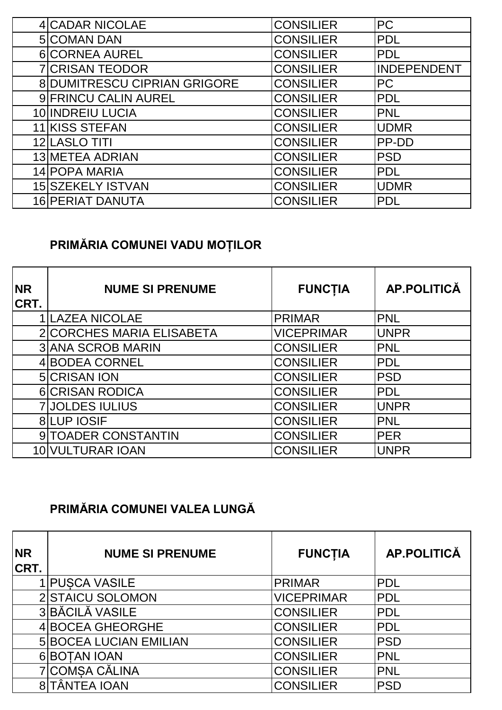| 4 CADAR NICOLAE                     | <b>CONSILIER</b> | <b>PC</b>          |
|-------------------------------------|------------------|--------------------|
| 5 COMAN DAN                         | <b>CONSILIER</b> | <b>PDL</b>         |
| 6 CORNEA AUREL                      | <b>CONSILIER</b> | <b>PDL</b>         |
| <b>7 CRISAN TEODOR</b>              | <b>CONSILIER</b> | <b>INDEPENDENT</b> |
| <b>8 DUMITRESCU CIPRIAN GRIGORE</b> | <b>CONSILIER</b> | <b>PC</b>          |
| 9 FRINCU CALIN AUREL                | <b>CONSILIER</b> | <b>PDL</b>         |
| 10 INDREIU LUCIA                    | <b>CONSILIER</b> | <b>PNL</b>         |
| 11 KISS STEFAN                      | <b>CONSILIER</b> | <b>UDMR</b>        |
| 12 LASLO TITI                       | <b>CONSILIER</b> | PP-DD              |
| 13 METEA ADRIAN                     | <b>CONSILIER</b> | <b>PSD</b>         |
| 14 POPA MARIA                       | <b>CONSILIER</b> | <b>PDL</b>         |
| 15 SZEKELY ISTVAN                   | <b>CONSILIER</b> | <b>UDMR</b>        |
| <b>16 PERIAT DANUTA</b>             | <b>CONSILIER</b> | <b>PDL</b>         |

# **PRIMĂRIA COMUNEI VADU MOȚILOR**

| <b>NR</b><br>CRT. | <b>NUME SI PRENUME</b>    | <b>FUNCTIA</b>    | <b>AP.POLITICĂ</b> |
|-------------------|---------------------------|-------------------|--------------------|
|                   | <b>LAZEA NICOLAE</b>      | <b>PRIMAR</b>     | <b>PNL</b>         |
|                   | 2 CORCHES MARIA ELISABETA | <b>VICEPRIMAR</b> | <b>UNPR</b>        |
|                   | <b>3 ANA SCROB MARIN</b>  | <b>CONSILIER</b>  | <b>PNL</b>         |
|                   | 4 BODEA CORNEL            | <b>CONSILIER</b>  | <b>PDL</b>         |
|                   | 5 CRISAN ION              | <b>CONSILIER</b>  | <b>PSD</b>         |
|                   | <b>6 CRISAN RODICA</b>    | <b>CONSILIER</b>  | <b>PDL</b>         |
|                   | <b>7 JOLDES IULIUS</b>    | <b>CONSILIER</b>  | <b>UNPR</b>        |
|                   | <b>8 LUP IOSIF</b>        | <b>CONSILIER</b>  | <b>PNL</b>         |
|                   | 9 TOADER CONSTANTIN       | <b>CONSILIER</b>  | <b>PER</b>         |
|                   | 10 VULTURAR IOAN          | <b>CONSILIER</b>  | <b>UNPR</b>        |

### **PRIMĂRIA COMUNEI VALEA LUNGĂ**

| <b>NR</b><br><b>CRT.</b> | <b>NUME SI PRENUME</b>        | <b>FUNCTIA</b>    | <b>AP.POLITICĂ</b> |
|--------------------------|-------------------------------|-------------------|--------------------|
|                          | <b>PUSCA VASILE</b>           | <b>PRIMAR</b>     | <b>PDL</b>         |
|                          | 2 STAICU SOLOMON              | <b>VICEPRIMAR</b> | <b>PDL</b>         |
|                          | 3 BĂCILĂ VASILE               | <b>CONSILIER</b>  | <b>PDL</b>         |
|                          | 4 BOCEA GHEORGHE              | <b>CONSILIER</b>  | <b>PDL</b>         |
|                          | <b>5 BOCEA LUCIAN EMILIAN</b> | <b>CONSILIER</b>  | <b>PSD</b>         |
|                          | 6 BOTAN IOAN                  | <b>CONSILIER</b>  | <b>PNL</b>         |
|                          | 7 COMSA CĂLINA                | <b>CONSILIER</b>  | <b>PNL</b>         |
|                          | 8 TÂNTEA IOAN                 | <b>CONSILIER</b>  | <b>PSD</b>         |